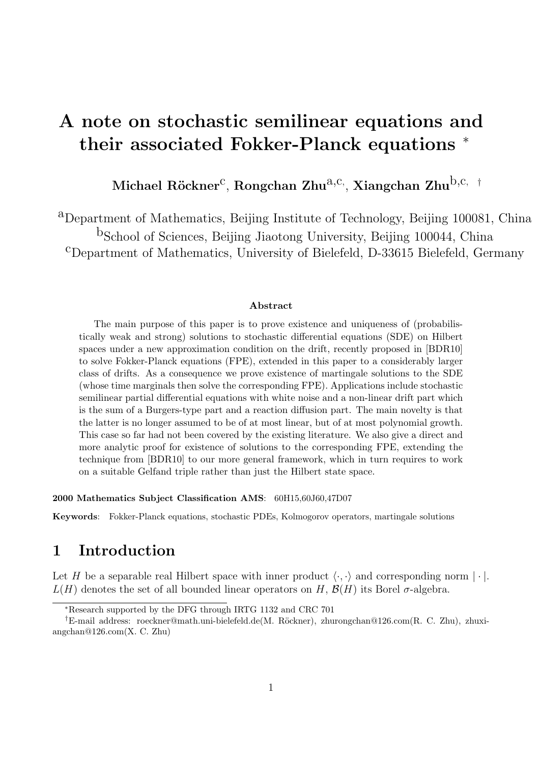# **A note on stochastic semilinear equations and their associated Fokker-Planck equations** *<sup>∗</sup>*

**Michael R¨ockner**c , **Rongchan Zhu**a,c*,* , **Xiangchan Zhu**b,c*, †*

aDepartment of Mathematics, Beijing Institute of Technology, Beijing 100081, China bSchool of Sciences, Beijing Jiaotong University, Beijing 100044, China cDepartment of Mathematics, University of Bielefeld, D-33615 Bielefeld, Germany

#### **Abstract**

The main purpose of this paper is to prove existence and uniqueness of (probabilistically weak and strong) solutions to stochastic differential equations (SDE) on Hilbert spaces under a new approximation condition on the drift, recently proposed in [BDR10] to solve Fokker-Planck equations (FPE), extended in this paper to a considerably larger class of drifts. As a consequence we prove existence of martingale solutions to the SDE (whose time marginals then solve the corresponding FPE). Applications include stochastic semilinear partial differential equations with white noise and a non-linear drift part which is the sum of a Burgers-type part and a reaction diffusion part. The main novelty is that the latter is no longer assumed to be of at most linear, but of at most polynomial growth. This case so far had not been covered by the existing literature. We also give a direct and more analytic proof for existence of solutions to the corresponding FPE, extending the technique from [BDR10] to our more general framework, which in turn requires to work on a suitable Gelfand triple rather than just the Hilbert state space.

**2000 Mathematics Subject Classification AMS**: 60H15,60J60,47D07

**Keywords**: Fokker-Planck equations, stochastic PDEs, Kolmogorov operators, martingale solutions

### **1 Introduction**

Let *H* be a separable real Hilbert space with inner product  $\langle \cdot, \cdot \rangle$  and corresponding norm  $|\cdot|$ .  $L(H)$  denotes the set of all bounded linear operators on *H*,  $\mathcal{B}(H)$  its Borel  $\sigma$ -algebra.

*<sup>∗</sup>*Research supported by the DFG through IRTG 1132 and CRC 701

<sup>&</sup>lt;sup>†</sup>E-mail address: roeckner@math.uni-bielefeld.de(M. Röckner), zhurongchan@126.com(R. C. Zhu), zhuxiangchan@126.com(X. C. Zhu)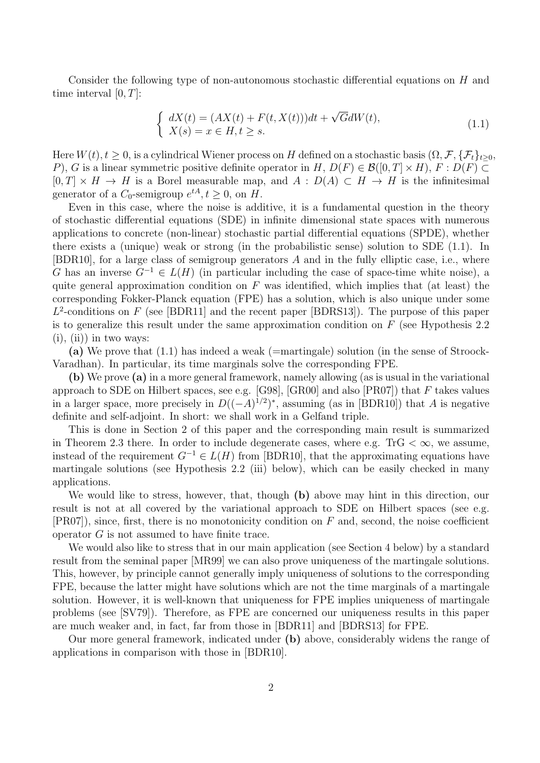Consider the following type of non-autonomous stochastic differential equations on *H* and time interval [0*, T*]:

$$
\begin{cases}\n dX(t) = (AX(t) + F(t, X(t)))dt + \sqrt{G}dW(t), \\
 X(s) = x \in H, t \ge s.\n\end{cases}
$$
\n(1.1)

Here  $W(t)$ ,  $t \geq 0$ , is a cylindrical Wiener process on *H* defined on a stochastic basis  $(\Omega, \mathcal{F}, \{\mathcal{F}_t\}_{t\geq 0}$ , *P*), *G* is a linear symmetric positive definite operator in *H*,  $D(F) \in \mathcal{B}([0, T] \times H)$ ,  $F : D(F) \subset$  $[0, T] \times H \rightarrow H$  is a Borel measurable map, and  $A: D(A) \subset H \rightarrow H$  is the infinitesimal generator of a  $C_0$ -semigroup  $e^{tA}, t \geq 0$ , on  $H$ .

Even in this case, where the noise is additive, it is a fundamental question in the theory of stochastic differential equations (SDE) in infinite dimensional state spaces with numerous applications to concrete (non-linear) stochastic partial differential equations (SPDE), whether there exists a (unique) weak or strong (in the probabilistic sense) solution to SDE (1.1). In [BDR10], for a large class of semigroup generators *A* and in the fully elliptic case, i.e., where *G* has an inverse  $G^{-1}$  ∈  $L(H)$  (in particular including the case of space-time white noise), a quite general approximation condition on *F* was identified, which implies that (at least) the corresponding Fokker-Planck equation (FPE) has a solution, which is also unique under some  $L^2$ -conditions on *F* (see [BDR11] and the recent paper [BDRS13]). The purpose of this paper is to generalize this result under the same approximation condition on *F* (see Hypothesis 2.2  $(i), (ii)$  in two ways:

(a) We prove that (1.1) has indeed a weak (=martingale) solution (in the sense of Stroock-Varadhan). In particular, its time marginals solve the corresponding FPE.

**(b)** We prove **(a)** in a more general framework, namely allowing (as is usual in the variational approach to SDE on Hilbert spaces, see e.g. [G98], [GR00] and also [PR07]) that *F* takes values in a larger space, more precisely in  $D((-A)^{1/2})^*$ , assuming (as in [BDR10]) that *A* is negative definite and self-adjoint. In short: we shall work in a Gelfand triple.

This is done in Section 2 of this paper and the corresponding main result is summarized in Theorem 2.3 there. In order to include degenerate cases, where e.g. Tr $G < \infty$ , we assume, instead of the requirement  $G^{-1} \in L(H)$  from [BDR10], that the approximating equations have martingale solutions (see Hypothesis 2.2 (iii) below), which can be easily checked in many applications.

We would like to stress, however, that, though **(b)** above may hint in this direction, our result is not at all covered by the variational approach to SDE on Hilbert spaces (see e.g. [PR07]), since, first, there is no monotonicity condition on *F* and, second, the noise coefficient operator *G* is not assumed to have finite trace.

We would also like to stress that in our main application (see Section 4 below) by a standard result from the seminal paper [MR99] we can also prove uniqueness of the martingale solutions. This, however, by principle cannot generally imply uniqueness of solutions to the corresponding FPE, because the latter might have solutions which are not the time marginals of a martingale solution. However, it is well-known that uniqueness for FPE implies uniqueness of martingale problems (see [SV79]). Therefore, as FPE are concerned our uniqueness results in this paper are much weaker and, in fact, far from those in [BDR11] and [BDRS13] for FPE.

Our more general framework, indicated under **(b)** above, considerably widens the range of applications in comparison with those in [BDR10].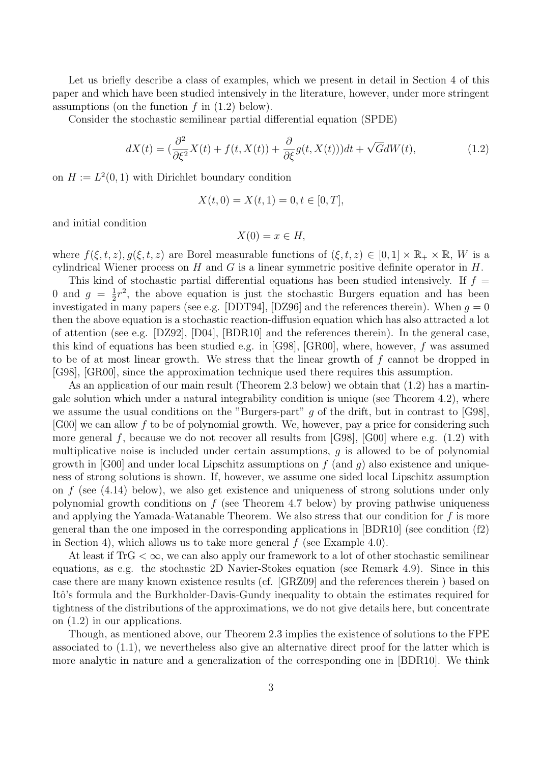Let us briefly describe a class of examples, which we present in detail in Section 4 of this paper and which have been studied intensively in the literature, however, under more stringent assumptions (on the function *f* in (1.2) below).

Consider the stochastic semilinear partial differential equation (SPDE)

$$
dX(t) = \left(\frac{\partial^2}{\partial \xi^2} X(t) + f(t, X(t)) + \frac{\partial}{\partial \xi} g(t, X(t))\right)dt + \sqrt{G}dW(t),\tag{1.2}
$$

on  $H := L^2(0,1)$  with Dirichlet boundary condition

$$
X(t,0) = X(t,1) = 0, t \in [0,T],
$$

and initial condition

$$
X(0) = x \in H,
$$

where  $f(\xi, t, z)$ ,  $g(\xi, t, z)$  are Borel measurable functions of  $(\xi, t, z) \in [0, 1] \times \mathbb{R}_+ \times \mathbb{R}$ , *W* is a cylindrical Wiener process on *H* and *G* is a linear symmetric positive definite operator in *H*.

This kind of stochastic partial differential equations has been studied intensively. If  $f =$ 0 and  $g = \frac{1}{2}$  $\frac{1}{2}r^2$ , the above equation is just the stochastic Burgers equation and has been investigated in many papers (see e.g. [DDT94], [DZ96] and the references therein). When  $q = 0$ then the above equation is a stochastic reaction-diffusion equation which has also attracted a lot of attention (see e.g. [DZ92], [D04], [BDR10] and the references therein). In the general case, this kind of equations has been studied e.g. in [G98], [GR00], where, however, *f* was assumed to be of at most linear growth. We stress that the linear growth of *f* cannot be dropped in [G98], [GR00], since the approximation technique used there requires this assumption.

As an application of our main result (Theorem 2.3 below) we obtain that (1.2) has a martingale solution which under a natural integrability condition is unique (see Theorem 4.2), where we assume the usual conditions on the "Burgers-part" *g* of the drift, but in contrast to [G98], [G00] we can allow *f* to be of polynomial growth. We, however, pay a price for considering such more general  $f$ , because we do not recover all results from [G98], [G00] where e.g.  $(1.2)$  with multiplicative noise is included under certain assumptions, *g* is allowed to be of polynomial growth in [G00] and under local Lipschitz assumptions on *f* (and *g*) also existence and uniqueness of strong solutions is shown. If, however, we assume one sided local Lipschitz assumption on *f* (see (4.14) below), we also get existence and uniqueness of strong solutions under only polynomial growth conditions on *f* (see Theorem 4.7 below) by proving pathwise uniqueness and applying the Yamada-Watanable Theorem. We also stress that our condition for *f* is more general than the one imposed in the corresponding applications in [BDR10] (see condition (f2) in Section 4), which allows us to take more general  $f$  (see Example 4.0).

At least if  $Tr G < \infty$ , we can also apply our framework to a lot of other stochastic semilinear equations, as e.g. the stochastic 2D Navier-Stokes equation (see Remark 4.9). Since in this case there are many known existence results (cf. [GRZ09] and the references therein ) based on Itô's formula and the Burkholder-Davis-Gundy inequality to obtain the estimates required for tightness of the distributions of the approximations, we do not give details here, but concentrate on (1.2) in our applications.

Though, as mentioned above, our Theorem 2.3 implies the existence of solutions to the FPE associated to (1.1), we nevertheless also give an alternative direct proof for the latter which is more analytic in nature and a generalization of the corresponding one in [BDR10]. We think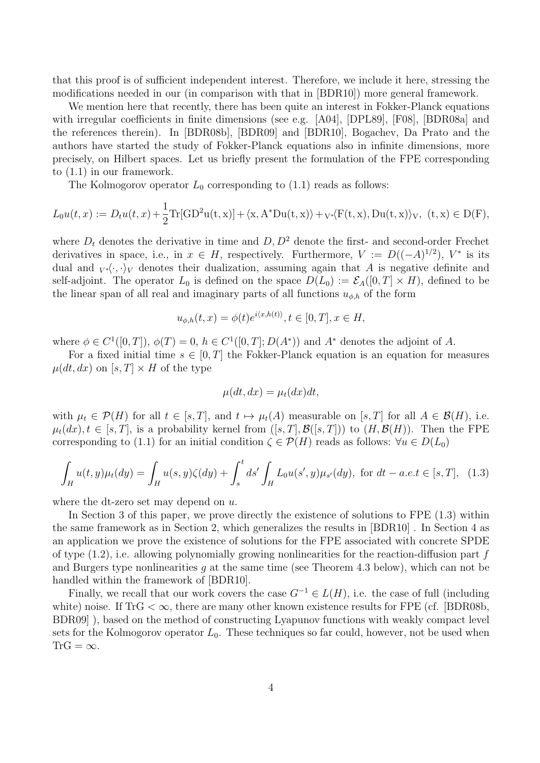that this proof is of sufficient independent interest. Therefore, we include it here, stressing the modifications needed in our (in comparison with that in [BDR10]) more general framework.

We mention here that recently, there has been quite an interest in Fokker-Planck equations with irregular coefficients in finite dimensions (see e.g. [A04], [DPL89], [F08], [BDR08a] and the references therein). In [BDR08b], [BDR09] and [BDR10], Bogachev, Da Prato and the authors have started the study of Fokker-Planck equations also in infinite dimensions, more precisely, on Hilbert spaces. Let us briefly present the formulation of the FPE corresponding to (1.1) in our framework.

The Kolmogorov operator  $L_0$  corresponding to  $(1.1)$  reads as follows:

$$
L_0u(t,x) := D_tu(t,x) + \frac{1}{2}\text{Tr}[GD^2u(t,x)] + \langle x, A^*Du(t,x)\rangle + v\langle F(t,x), Du(t,x)\rangle_V, (t,x) \in D(F),
$$

where  $D_t$  denotes the derivative in time and  $D, D^2$  denote the first- and second-order Frechet derivatives in space, i.e., in  $x \in H$ , respectively. Furthermore,  $V := D((-A)^{1/2})$ ,  $V^*$  is its dual and  $V^* \langle \cdot, \cdot \rangle_V$  denotes their dualization, assuming again that *A* is negative definite and self-adjoint. The operator  $L_0$  is defined on the space  $D(L_0) := \mathcal{E}_A([0,T] \times H)$ , defined to be the linear span of all real and imaginary parts of all functions  $u_{\phi,h}$  of the form

$$
u_{\phi,h}(t,x) = \phi(t)e^{i\langle x,h(t) \rangle}, t \in [0,T], x \in H,
$$

where  $\phi \in C^1([0,T])$ ,  $\phi(T) = 0$ ,  $h \in C^1([0,T]; D(A^*))$  and  $A^*$  denotes the adjoint of *A*.

For a fixed initial time  $s \in [0, T]$  the Fokker-Planck equation is an equation for measures  $\mu(dt, dx)$  on [s, T]  $\times$  *H* of the type

$$
\mu(dt, dx) = \mu_t(dx)dt,
$$

with  $\mu_t \in \mathcal{P}(H)$  for all  $t \in [s, T]$ , and  $t \mapsto \mu_t(A)$  measurable on  $[s, T]$  for all  $A \in \mathcal{B}(H)$ , i.e.  $\mu_t(dx), t \in [s, T]$ , is a probability kernel from  $([s, T], \mathcal{B}([s, T]))$  to  $(H, \mathcal{B}(H))$ . Then the FPE corresponding to (1.1) for an initial condition  $\zeta \in \mathcal{P}(H)$  reads as follows:  $\forall u \in D(L_0)$ 

$$
\int_{H} u(t, y)\mu_t(dy) = \int_{H} u(s, y)\zeta(dy) + \int_{s}^{t} ds' \int_{H} L_0 u(s', y)\mu_{s'}(dy), \text{ for } dt - a.e. t \in [s, T], \tag{1.3}
$$

where the dt-zero set may depend on *u*.

In Section 3 of this paper, we prove directly the existence of solutions to FPE (1.3) within the same framework as in Section 2, which generalizes the results in [BDR10] . In Section 4 as an application we prove the existence of solutions for the FPE associated with concrete SPDE of type (1.2), i.e. allowing polynomially growing nonlinearities for the reaction-diffusion part *f* and Burgers type nonlinearities *g* at the same time (see Theorem 4.3 below), which can not be handled within the framework of [BDR10].

Finally, we recall that our work covers the case  $G^{-1} \in L(H)$ , i.e. the case of full (including white) noise. If  $TrG < \infty$ , there are many other known existence results for FPE (cf. [BDR08b, BDR09] ), based on the method of constructing Lyapunov functions with weakly compact level sets for the Kolmogorov operator  $L_0$ . These techniques so far could, however, not be used when  $TrG = \infty$ .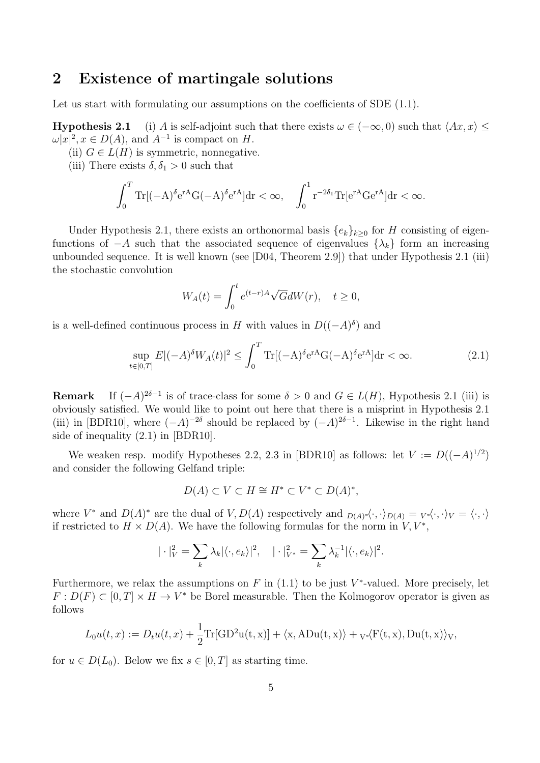### **2 Existence of martingale solutions**

Let us start with formulating our assumptions on the coefficients of SDE  $(1.1)$ .

**Hypothesis 2.1** (i) *A* is self-adjoint such that there exists  $\omega \in (-\infty, 0)$  such that  $\langle Ax, x \rangle \le$  $\omega |x|^2, x \in D(A)$ , and  $A^{-1}$  is compact on *H*.

(ii)  $G \in L(H)$  is symmetric, nonnegative.

(iii) There exists  $\delta, \delta_1 > 0$  such that

$$
\int_0^T \mathrm{Tr}[(-A)^{\delta} e^{rA} G(-A)^{\delta} e^{rA}] dr < \infty, \quad \int_0^1 r^{-2\delta_1} \mathrm{Tr}[e^{rA} G e^{rA}] dr < \infty.
$$

Under Hypothesis 2.1, there exists an orthonormal basis  $\{e_k\}_{k\geq 0}$  for *H* consisting of eigenfunctions of  $-A$  such that the associated sequence of eigenvalues  $\{\lambda_k\}$  form an increasing unbounded sequence. It is well known (see [D04, Theorem 2.9]) that under Hypothesis 2.1 (iii) the stochastic convolution

$$
W_A(t) = \int_0^t e^{(t-r)A} \sqrt{G} dW(r), \quad t \ge 0,
$$

is a well-defined continuous process in *H* with values in  $D((-A)^{\delta})$  and

$$
\sup_{t \in [0,T]} E|(-A)^{\delta} W_A(t)|^2 \le \int_0^T \text{Tr}[(-A)^{\delta} e^{rA} G(-A)^{\delta} e^{rA}] dr < \infty.
$$
 (2.1)

 $Remark$ <sup>2δ−1</sup> is of trace-class for some  $\delta > 0$  and  $G \in L(H)$ , Hypothesis 2.1 (iii) is obviously satisfied. We would like to point out here that there is a misprint in Hypothesis 2.1 (iii) in [BDR10], where  $(-A)^{-2\delta}$  should be replaced by  $(-A)^{2\delta-1}$ . Likewise in the right hand side of inequality (2.1) in [BDR10].

We weaken resp. modify Hypotheses 2.2, 2.3 in [BDR10] as follows: let  $V := D((-A)^{1/2})$ and consider the following Gelfand triple:

$$
D(A) \subset V \subset H \cong H^* \subset V^* \subset D(A)^*,
$$

where  $V^*$  and  $D(A)^*$  are the dual of  $V, D(A)$  respectively and  $D(A)^*(\cdot, \cdot)_{D(A)} = V^*(\cdot, \cdot)_{V} = \langle \cdot, \cdot \rangle_{V}$ if restricted to  $H \times D(A)$ . We have the following formulas for the norm in  $V, V^*$ ,

$$
|\cdot|_V^2 = \sum_k \lambda_k |\langle \cdot, e_k \rangle|^2, \quad |\cdot|_{V^*}^2 = \sum_k \lambda_k^{-1} |\langle \cdot, e_k \rangle|^2.
$$

Furthermore, we relax the assumptions on  $F$  in  $(1.1)$  to be just  $V^*$ -valued. More precisely, let  $F: D(F) \subset [0, T] \times H \rightarrow V^*$  be Borel measurable. Then the Kolmogorov operator is given as follows

$$
L_0u(t,x) := D_tu(t,x) + \frac{1}{2}\text{Tr}[GD^2u(t,x)] + \langle x, ADu(t,x) \rangle + v\langle F(t,x), Du(t,x) \rangle_V,
$$

for  $u \in D(L_0)$ . Below we fix  $s \in [0, T]$  as starting time.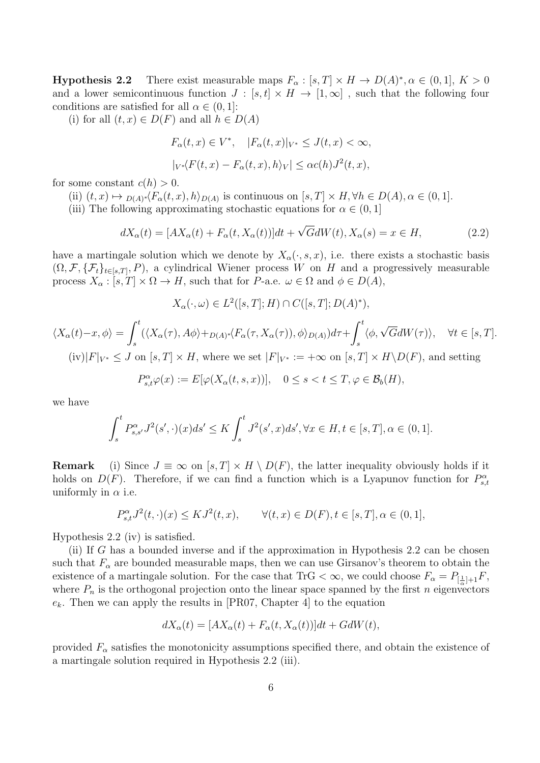**Hypothesis 2.2** There exist measurable maps  $F_{\alpha} : [s, T] \times H \to D(A)^{*}, \alpha \in (0, 1], K > 0$ and a lower semicontinuous function  $J : [s, t] \times H \to [1, \infty]$ , such that the following four conditions are satisfied for all  $\alpha \in (0,1]$ :

(i) for all  $(t, x) \in D(F)$  and all  $h \in D(A)$ 

$$
F_{\alpha}(t, x) \in V^*, \quad |F_{\alpha}(t, x)|_{V^*} \le J(t, x) < \infty,
$$
\n
$$
|V^*\langle F(t, x) - F_{\alpha}(t, x), h \rangle_V| \le \alpha c(h) J^2(t, x),
$$

for some constant  $c(h) > 0$ .

- (ii)  $(t, x) \mapsto D(A) \langle F_{\alpha}(t, x), h \rangle_{D(A)}$  is continuous on  $[s, T] \times H$ ,  $\forall h \in D(A)$ ,  $\alpha \in (0, 1]$ .
- (iii) The following approximating stochastic equations for  $\alpha \in (0,1]$

$$
dX_{\alpha}(t) = [AX_{\alpha}(t) + F_{\alpha}(t, X_{\alpha}(t))]dt + \sqrt{G}dW(t), X_{\alpha}(s) = x \in H,
$$
\n(2.2)

have a martingale solution which we denote by  $X_{\alpha}(\cdot, s, x)$ , i.e. there exists a stochastic basis  $(\Omega, \mathcal{F}, \{\mathcal{F}_t\}_{t\in [s,T]}, P)$ , a cylindrical Wiener process *W* on *H* and a progressively measurable process  $X_{\alpha} : [s, T] \times \Omega \to H$ , such that for *P*-a.e.  $\omega \in \Omega$  and  $\phi \in D(A)$ ,

$$
X_{\alpha}(\cdot,\omega) \in L^{2}([s,T];H) \cap C([s,T];D(A)^{*}),
$$
  

$$
\langle X_{\alpha}(t)-x,\phi\rangle = \int_{s}^{t} (\langle X_{\alpha}(\tau),A\phi\rangle + D(A))^{\ast}\langle F_{\alpha}(\tau,X_{\alpha}(\tau)),\phi\rangle_{D(A)})d\tau + \int_{s}^{t} \langle \phi, \sqrt{G}dW(\tau) \rangle, \quad \forall t \in [s,T].
$$
  
(iv)|F| $V^{*} \leq J$  on [s,T] × H, where we set |F| $V^{*} := +\infty$  on [s,T] × H\setminus D(F), and setting

$$
P_{s,t}^{\alpha}\varphi(x) := E[\varphi(X_{\alpha}(t,s,x))], \quad 0 \le s < t \le T, \varphi \in \mathcal{B}_b(H),
$$

we have

$$
\int_{s}^{t} P_{s,s'}^{\alpha} J^{2}(s', \cdot)(x) ds' \leq K \int_{s}^{t} J^{2}(s', x) ds', \forall x \in H, t \in [s, T], \alpha \in (0, 1].
$$

**Remark** (i) Since  $J \equiv \infty$  on  $[s, T] \times H \setminus D(F)$ , the latter inequality obviously holds if it holds on  $D(F)$ . Therefore, if we can find a function which is a Lyapunov function for  $P^{\alpha}_{s,t}$ uniformly in  $\alpha$  i.e.

$$
P_{s,t}^{\alpha}J^{2}(t,\cdot)(x) \le KJ^{2}(t,x), \qquad \forall (t,x) \in D(F), t \in [s,T], \alpha \in (0,1],
$$

Hypothesis 2.2 (iv) is satisfied.

(ii) If *G* has a bounded inverse and if the approximation in Hypothesis 2.2 can be chosen such that  $F_\alpha$  are bounded measurable maps, then we can use Girsanov's theorem to obtain the existence of a martingale solution. For the case that TrG  $<\infty$ , we could choose  $F_{\alpha} = P_{\left[\frac{1}{\alpha}\right]+1}F$ , where  $P_n$  is the orthogonal projection onto the linear space spanned by the first *n* eigenvectors  $e_k$ . Then we can apply the results in [PR07, Chapter 4] to the equation

$$
dX_{\alpha}(t) = [AX_{\alpha}(t) + F_{\alpha}(t, X_{\alpha}(t))]dt + GdW(t),
$$

provided  $F_\alpha$  satisfies the monotonicity assumptions specified there, and obtain the existence of a martingale solution required in Hypothesis 2.2 (iii).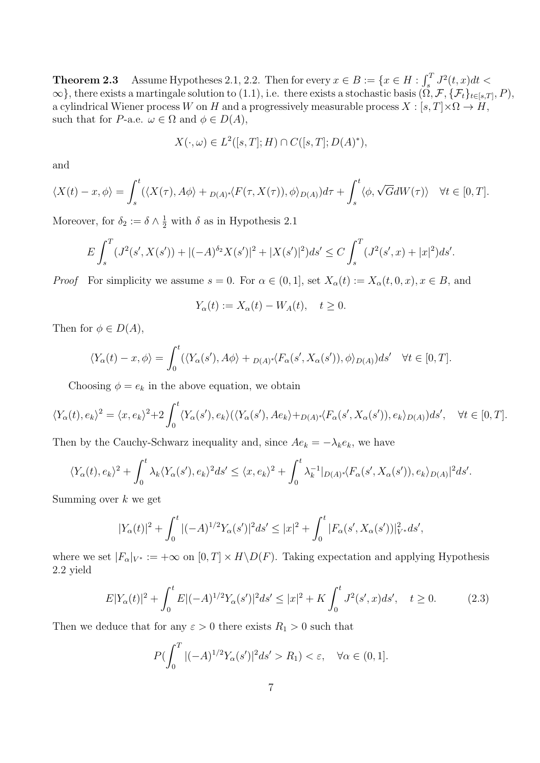**Theorem 2.3** Assume Hypotheses 2.1, 2.2. Then for every  $x \in B := \{x \in H : \int_s^T J^2(t, x) dt \leq$  $\infty$ }, there exists a martingale solution to (1.1), i.e. there exists a stochastic basis  $(\Omega, \mathcal{F}, \{\mathcal{F}_t\}_{t \in [s,T]}, P)$ , a cylindrical Wiener process *W* on *H* and a progressively measurable process  $X : [s, T] \times \Omega \rightarrow H$ , such that for *P*-a.e.  $\omega \in \Omega$  and  $\phi \in D(A)$ ,

$$
X(\cdot,\omega) \in L^2([s,T];H) \cap C([s,T];D(A)^*),
$$

and

$$
\langle X(t) - x, \phi \rangle = \int_s^t (\langle X(\tau), A\phi \rangle + D(A) \langle F(\tau, X(\tau)), \phi \rangle D(A)) d\tau + \int_s^t \langle \phi, \sqrt{G} dW(\tau) \rangle \quad \forall t \in [0, T].
$$

Moreover, for  $\delta_2 := \delta \wedge \frac{1}{2}$  with  $\delta$  as in Hypothesis 2.1

$$
E\int_s^T (J^2(s', X(s')) + |(-A)^{\delta_2} X(s')|^2 + |X(s')|^2)ds' \le C\int_s^T (J^2(s', x) + |x|^2)ds'.
$$

*Proof* For simplicity we assume  $s = 0$ . For  $\alpha \in (0, 1]$ , set  $X_{\alpha}(t) := X_{\alpha}(t, 0, x)$ ,  $x \in B$ , and

$$
Y_{\alpha}(t) := X_{\alpha}(t) - W_{A}(t), \quad t \ge 0.
$$

Then for  $\phi \in D(A)$ ,

$$
\langle Y_{\alpha}(t) - x, \phi \rangle = \int_0^t (\langle Y_{\alpha}(s'), A\phi \rangle + D(A)^{\ast} \langle F_{\alpha}(s', X_{\alpha}(s')), \phi \rangle) D(A)) ds' \quad \forall t \in [0, T].
$$

Choosing  $\phi = e_k$  in the above equation, we obtain

$$
\langle Y_{\alpha}(t), e_k \rangle^2 = \langle x, e_k \rangle^2 + 2 \int_0^t \langle Y_{\alpha}(s'), e_k \rangle (\langle Y_{\alpha}(s'), Ae_k \rangle + D(A) \langle F_{\alpha}(s', X_{\alpha}(s')), e_k \rangle) D(A)) ds', \quad \forall t \in [0, T].
$$

Then by the Cauchy-Schwarz inequality and, since  $Ae_k = -\lambda_k e_k$ , we have

$$
\langle Y_{\alpha}(t), e_k \rangle^2 + \int_0^t \lambda_k \langle Y_{\alpha}(s'), e_k \rangle^2 ds' \leq \langle x, e_k \rangle^2 + \int_0^t \lambda_k^{-1} |\rho(A)|^2 \langle F_{\alpha}(s', X_{\alpha}(s')), e_k \rangle_{D(A)}|^2 ds'.
$$

Summing over *k* we get

$$
|Y_{\alpha}(t)|^{2} + \int_{0}^{t} |(-A)^{1/2}Y_{\alpha}(s')|^{2} ds' \leq |x|^{2} + \int_{0}^{t} |F_{\alpha}(s', X_{\alpha}(s'))|_{V^{*}}^{2} ds',
$$

where we set  $|F_\alpha|_{V^*} := +\infty$  on  $[0,T] \times H \backslash D(F)$ . Taking expectation and applying Hypothesis 2.2 yield

$$
E|Y_{\alpha}(t)|^{2} + \int_{0}^{t} E|(-A)^{1/2}Y_{\alpha}(s')|^{2}ds' \le |x|^{2} + K\int_{0}^{t} J^{2}(s', x)ds', \quad t \ge 0.
$$
 (2.3)

Then we deduce that for any  $\varepsilon > 0$  there exists  $R_1 > 0$  such that

$$
P(\int_0^T |(-A)^{1/2}Y_{\alpha}(s')|^2 ds' > R_1) < \varepsilon, \quad \forall \alpha \in (0,1].
$$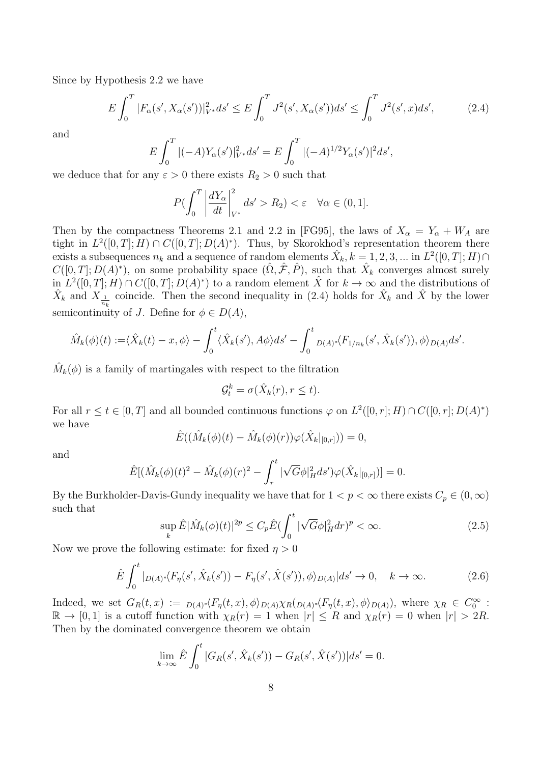Since by Hypothesis 2.2 we have

$$
E\int_0^T |F_\alpha(s', X_\alpha(s'))|_{V^*}^2 ds' \le E\int_0^T J^2(s', X_\alpha(s'))ds' \le \int_0^T J^2(s', x)ds',\tag{2.4}
$$

and

$$
E\int_0^T |(-A)Y_{\alpha}(s')|_{V^*}^2 ds' = E\int_0^T |(-A)^{1/2}Y_{\alpha}(s')|^2 ds',
$$

we deduce that for any  $\varepsilon > 0$  there exists  $R_2 > 0$  such that

$$
P\left(\int_0^T \left|\frac{dY_{\alpha}}{dt}\right|_{V^*}^2 ds' > R_2\right) < \varepsilon \quad \forall \alpha \in (0, 1].
$$

Then by the compactness Theorems 2.1 and 2.2 in [FG95], the laws of  $X_{\alpha} = Y_{\alpha} + W_A$  are tight in  $L^2([0,T]; H) \cap C([0,T]; D(A)^*)$ . Thus, by Skorokhod's representation theorem there  $\hat{X}_k$ ,  $k = 1, 2, 3, \dots$  in  $L^2([0, T]; H) \cap$  $C([0, T]; D(A)^*)$ , on some probability space  $(\hat{\Omega}, \hat{\mathcal{F}}, \hat{P})$ , such that  $\hat{X}_k$  converges almost surely  $\lim L^2([0,T]; H) \cap C([0,T]; D(A)^*)$  to a random element  $\hat{X}$  for  $k \to \infty$  and the distributions of  $\hat{X}_k$  and  $X_{\frac{1}{n_k}}$  coincide. Then the second inequality in (2.4) holds for  $\hat{X}_k$  and  $\hat{X}$  by the lower semicontinuity of *J*. Define for  $\phi \in D(A)$ ,

$$
\hat{M}_k(\phi)(t) := \langle \hat{X}_k(t) - x, \phi \rangle - \int_0^t \langle \hat{X}_k(s'), A\phi \rangle ds' - \int_0^t D(A)^{\ast} \langle F_{1/n_k}(s', \hat{X}_k(s')), \phi \rangle_{D(A)} ds'.
$$

 $\hat{M}_k(\phi)$  is a family of martingales with respect to the filtration

$$
\mathcal{G}_t^k = \sigma(\hat{X}_k(r), r \le t).
$$

For all  $r \leq t \in [0, T]$  and all bounded continuous functions  $\varphi$  on  $L^2([0, r]; H) \cap C([0, r]; D(A)^*)$ we have

$$
\hat{E}((\hat{M}_k(\phi)(t) - \hat{M}_k(\phi)(r))\varphi(\hat{X}_k|_{[0,r]})) = 0,
$$

and

$$
\hat{E}[(\hat{M}_k(\phi)(t)^2 - \hat{M}_k(\phi)(r)^2 - \int_r^t |\sqrt{G}\phi|_H^2 ds')\varphi(\hat{X}_k|_{[0,r]})] = 0.
$$

By the Burkholder-Davis-Gundy inequality we have that for  $1 < p < \infty$  there exists  $C_p \in (0, \infty)$ such that

$$
\sup_{k} \hat{E} |\hat{M}_k(\phi)(t)|^{2p} \le C_p \hat{E} (\int_0^t |\sqrt{G}\phi|_H^2 dr)^p < \infty.
$$
\n(2.5)

Now we prove the following estimate: for fixed  $\eta > 0$ 

$$
\hat{E}\int_0^t |_{D(A)^*}\langle F_\eta(s',\hat{X}_k(s')) - F_\eta(s',\hat{X}(s')), \phi\rangle_{D(A)}|ds' \to 0, \quad k \to \infty.
$$
\n(2.6)

Indeed, we set  $G_R(t,x) := D(A) \cdot \langle F_\eta(t,x), \phi \rangle_{D(A)} \chi_R(D(A) \cdot \langle F_\eta(t,x), \phi \rangle_{D(A)})$ , where  $\chi_R \in C_0^\infty$ :  $\mathbb{R} \to [0,1]$  is a cutoff function with  $\chi_R(r) = 1$  when  $|r| \leq R$  and  $\chi_R(r) = 0$  when  $|r| > 2R$ . Then by the dominated convergence theorem we obtain

$$
\lim_{k \to \infty} \hat{E} \int_0^t |G_R(s', \hat{X}_k(s')) - G_R(s', \hat{X}(s'))| ds' = 0.
$$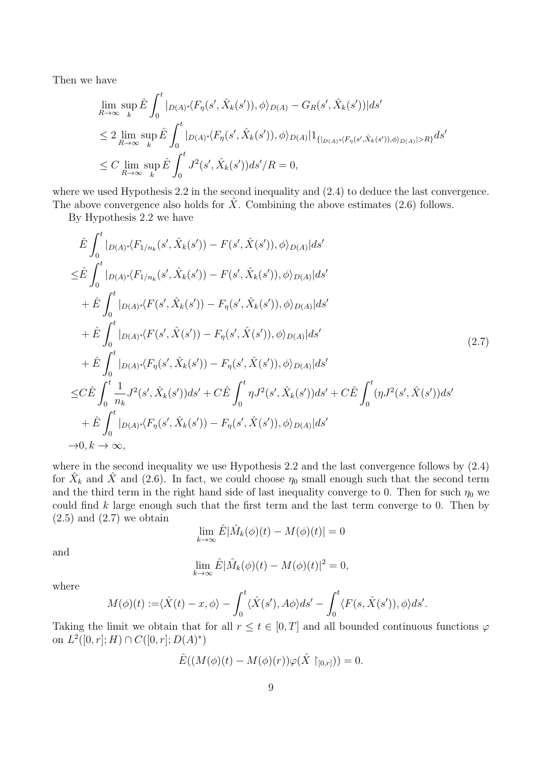Then we have

$$
\lim_{R \to \infty} \sup_{k} \hat{E} \int_{0}^{t} |_{D(A)^*} \langle F_{\eta}(s', \hat{X}_k(s')), \phi \rangle_{D(A)} - G_R(s', \hat{X}_k(s'))| ds'
$$
\n
$$
\leq 2 \lim_{R \to \infty} \sup_{k} \hat{E} \int_{0}^{t} |_{D(A)^*} \langle F_{\eta}(s', \hat{X}_k(s')), \phi \rangle_{D(A)} | 1_{\{|_{D(A)^*} \langle F_{\eta}(s', \hat{X}_k(s')), \phi \rangle_{D(A)}| > R\}} ds'
$$
\n
$$
\leq C \lim_{R \to \infty} \sup_{k} \hat{E} \int_{0}^{t} J^2(s', \hat{X}_k(s')) ds'/R = 0,
$$

where we used Hypothesis 2.2 in the second inequality and  $(2.4)$  to deduce the last convergence. The above convergence also holds for  $\hat{X}$ . Combining the above estimates (2.6) follows.

By Hypothesis 2.2 we have

$$
\hat{E} \int_{0}^{t} |_{D(A)^{*}} \langle F_{1/n_{k}}(s', \hat{X}_{k}(s')) - F(s', \hat{X}(s')), \phi \rangle_{D(A)} |ds'
$$
\n
$$
\leq \hat{E} \int_{0}^{t} |_{D(A)^{*}} \langle F_{1/n_{k}}(s', \hat{X}_{k}(s')) - F(s', \hat{X}_{k}(s')), \phi \rangle_{D(A)} |ds'
$$
\n
$$
+ \hat{E} \int_{0}^{t} |_{D(A)^{*}} \langle F(s', \hat{X}_{k}(s')) - F_{\eta}(s', \hat{X}_{k}(s')), \phi \rangle_{D(A)} |ds'
$$
\n
$$
+ \hat{E} \int_{0}^{t} |_{D(A)^{*}} \langle F(s', \hat{X}(s')) - F_{\eta}(s', \hat{X}(s')), \phi \rangle_{D(A)} |ds'
$$
\n
$$
+ \hat{E} \int_{0}^{t} |_{D(A)^{*}} \langle F_{\eta}(s', \hat{X}_{k}(s')) - F_{\eta}(s', \hat{X}(s')), \phi \rangle_{D(A)} |ds'
$$
\n
$$
\leq C \hat{E} \int_{0}^{t} \frac{1}{n_{k}} J^{2}(s', \hat{X}_{k}(s')) ds' + C \hat{E} \int_{0}^{t} \eta J^{2}(s', \hat{X}_{k}(s')) ds' + C \hat{E} \int_{0}^{t} (\eta J^{2}(s', \hat{X}(s')) ds'
$$
\n
$$
+ \hat{E} \int_{0}^{t} |_{D(A)^{*}} \langle F_{\eta}(s', \hat{X}_{k}(s')) - F_{\eta}(s', \hat{X}(s')), \phi \rangle_{D(A)} |ds'
$$
\n
$$
\to 0, k \to \infty,
$$

where in the second inequality we use Hypothesis 2.2 and the last convergence follows by  $(2.4)$ for  $\hat{X}_k$  and  $\hat{X}$  and (2.6). In fact, we could choose  $\eta_0$  small enough such that the second term and the third term in the right hand side of last inequality converge to 0. Then for such  $\eta_0$  we could find *k* large enough such that the first term and the last term converge to 0. Then by  $(2.5)$  and  $(2.7)$  we obtain

$$
\lim_{k \to \infty} \hat{E} |\hat{M}_k(\phi)(t) - M(\phi)(t)| = 0
$$

and

$$
\lim_{k \to \infty} \hat{E} |\hat{M}_k(\phi)(t) - M(\phi)(t)|^2 = 0,
$$

where

$$
M(\phi)(t) := \langle \hat{X}(t) - x, \phi \rangle - \int_0^t \langle \hat{X}(s'), A\phi \rangle ds' - \int_0^t \langle F(s, \hat{X}(s')), \phi \rangle ds'.
$$

Taking the limit we obtain that for all  $r \le t \in [0, T]$  and all bounded continuous functions  $\varphi$ on  $L^2([0, r]; H) \cap C([0, r]; D(A)^*)$ 

$$
\hat{E}((M(\phi)(t) - M(\phi)(r))\varphi(\hat{X}\restriction_{[0,r]})) = 0.
$$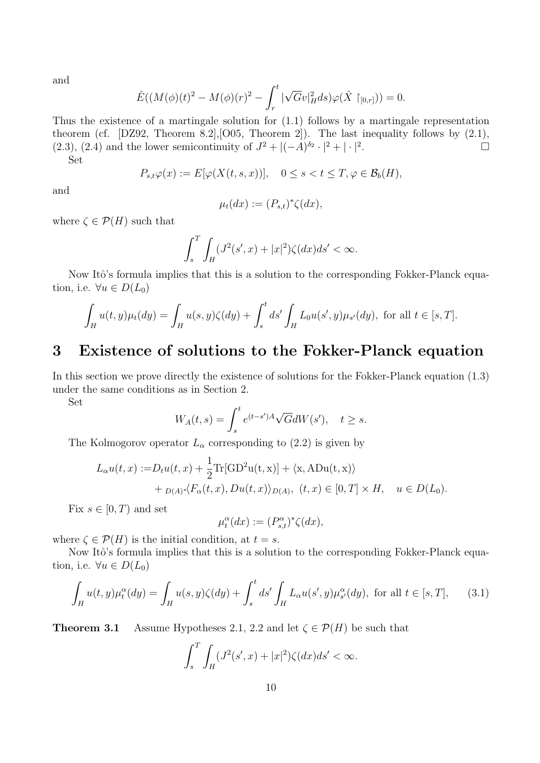and

$$
\hat{E}((M(\phi)(t)^{2} - M(\phi)(r)^{2} - \int_{r}^{t} |\sqrt{G}v|_{H}^{2} ds)\varphi(\hat{X} \restriction_{[0,r]})) = 0.
$$

Thus the existence of a martingale solution for (1.1) follows by a martingale representation theorem (cf. [DZ92, Theorem 8.2],  $[0.05,$  Theorem 2]). The last inequality follows by  $(2.1)$ , (2.3), (2.4) and the lower semicontinuity of  $J^2 + |(-A)^{\delta_2} \cdot |^2 + | \cdot |^2$ . — Процессиональные производствование и производствование и производствование и производствование и производст<br>В 1990 году в 1990 году в 1990 году в 1990 году в 1990 году в 1990 году в 1990 году в 1990 году в 1990 году в Set

$$
P_{s,t}\varphi(x):=E[\varphi(X(t,s,x))],\quad 0\leq s
$$

and

$$
\mu_t(dx) := (P_{s,t})^* \zeta(dx),
$$

where  $\zeta \in \mathcal{P}(H)$  such that

$$
\int_s^T \int_H (J^2(s',x) + |x|^2) \zeta(dx) ds' < \infty.
$$

Now Itô's formula implies that this is a solution to the corresponding Fokker-Planck equation, i.e.  $\forall u \in D(L_0)$ 

$$
\int_{H} u(t, y)\mu_t(dy) = \int_{H} u(s, y)\zeta(dy) + \int_{s}^{t} ds' \int_{H} L_0 u(s', y)\mu_{s'}(dy), \text{ for all } t \in [s, T].
$$

# **3 Existence of solutions to the Fokker-Planck equation**

In this section we prove directly the existence of solutions for the Fokker-Planck equation (1.3) under the same conditions as in Section 2.

Set

$$
W_A(t,s) = \int_s^t e^{(t-s')A} \sqrt{G} dW(s'), \quad t \ge s.
$$

The Kolmogorov operator  $L_\alpha$  corresponding to (2.2) is given by

$$
L_{\alpha}u(t,x) := D_t u(t,x) + \frac{1}{2} \text{Tr}[GD^2 u(t,x)] + \langle x, ADu(t,x) \rangle
$$
  
+ 
$$
D(A)^*\langle F_{\alpha}(t,x), Du(t,x) \rangle_{D(A)}, \ (t,x) \in [0,T] \times H, \quad u \in D(L_0).
$$

Fix  $s \in [0, T)$  and set

$$
\mu_t^{\alpha}(dx) := (P_{s,t}^{\alpha})^* \zeta(dx),
$$

where  $\zeta \in \mathcal{P}(H)$  is the initial condition, at  $t = s$ .

Now Itô's formula implies that this is a solution to the corresponding Fokker-Planck equation, i.e.  $\forall u \in D(L_0)$ 

$$
\int_H u(t,y)\mu_t^{\alpha}(dy) = \int_H u(s,y)\zeta(dy) + \int_s^t ds' \int_H L_{\alpha}u(s',y)\mu_{s'}^{\alpha}(dy), \text{ for all } t \in [s,T], \qquad (3.1)
$$

**Theorem 3.1** Assume Hypotheses 2.1, 2.2 and let  $\zeta \in \mathcal{P}(H)$  be such that

$$
\int_{s}^{T} \int_{H} (J^2(s', x) + |x|^2) \zeta(dx) ds' < \infty.
$$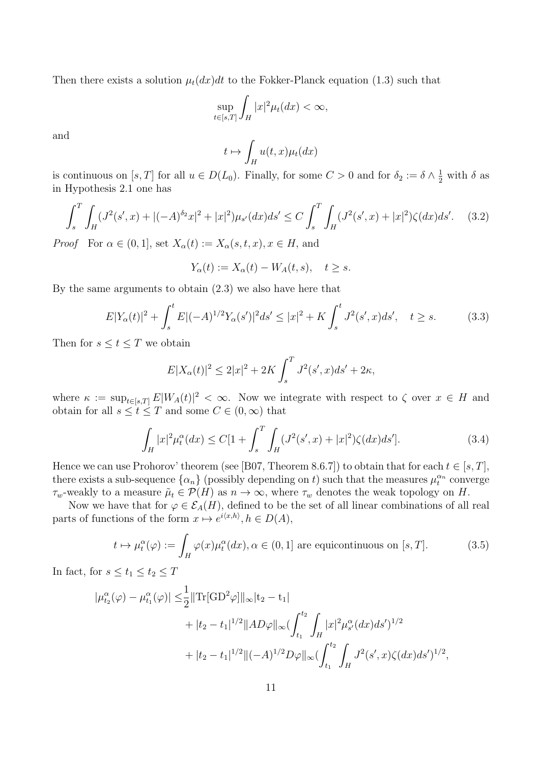Then there exists a solution  $\mu_t(dx)dt$  to the Fokker-Planck equation (1.3) such that

$$
\sup_{t\in[s,T]}\int_H|x|^2\mu_t(dx)<\infty,
$$

and

$$
t\mapsto \int_H u(t,x)\mu_t(dx)
$$

is continuous on [ $s, T$ ] for all  $u \in D(L_0)$ . Finally, for some  $C > 0$  and for  $\delta_2 := \delta \wedge \frac{1}{2}$  with  $\delta$  as in Hypothesis 2.1 one has

$$
\int_{s}^{T} \int_{H} (J^{2}(s', x) + |(-A)^{\delta_{2}}x|^{2} + |x|^{2}) \mu_{s'}(dx) ds' \le C \int_{s}^{T} \int_{H} (J^{2}(s', x) + |x|^{2}) \zeta(dx) ds'. \tag{3.2}
$$

*Proof* For  $\alpha \in (0,1]$ , set  $X_{\alpha}(t) := X_{\alpha}(s,t,x), x \in H$ , and

$$
Y_{\alpha}(t) := X_{\alpha}(t) - W_{A}(t, s), \quad t \ge s.
$$

By the same arguments to obtain (2.3) we also have here that

$$
E|Y_{\alpha}(t)|^{2} + \int_{s}^{t} E|(-A)^{1/2}Y_{\alpha}(s')|^{2}ds' \le |x|^{2} + K\int_{s}^{t} J^{2}(s', x)ds', \quad t \ge s. \tag{3.3}
$$

Then for  $s \le t \le T$  we obtain

$$
E|X_{\alpha}(t)|^{2} \le 2|x|^{2} + 2K \int_{s}^{T} J^{2}(s', x)ds' + 2\kappa,
$$

where  $\kappa := \sup_{t \in [s,T]} E|W_A(t)|^2 < \infty$ . Now we integrate with respect to  $\zeta$  over  $x \in H$  and obtain for all  $s \le t \le T$  and some  $C \in (0, \infty)$  that

$$
\int_{H} |x|^2 \mu_t^{\alpha}(dx) \le C[1 + \int_s^T \int_H (J^2(s', x) + |x|^2) \zeta(dx) ds'].
$$
\n(3.4)

Hence we can use Prohorov' theorem (see [B07, Theorem 8.6.7]) to obtain that for each  $t \in [s, T]$ , there exists a sub-sequence  $\{\alpha_n\}$  (possibly depending on *t*) such that the measures  $\mu_t^{\alpha_n}$  converge *τ*<sub>*w*</sub>-weakly to a measure  $\tilde{\mu}_t \in \mathcal{P}(H)$  as  $n \to \infty$ , where  $\tau_w$  denotes the weak topology on *H*.

Now we have that for  $\varphi \in \mathcal{E}_A(H)$ , defined to be the set of all linear combinations of all real parts of functions of the form  $x \mapsto e^{i\langle x,h \rangle}, h \in D(A)$ ,

$$
t \mapsto \mu_t^{\alpha}(\varphi) := \int_H \varphi(x) \mu_t^{\alpha}(dx), \alpha \in (0, 1] \text{ are equicontinuous on } [s, T]. \tag{3.5}
$$

In fact, for  $s \le t_1 \le t_2 \le T$ 

$$
\begin{aligned} |\mu_{t_2}^{\alpha}(\varphi) - \mu_{t_1}^{\alpha}(\varphi)| &\leq & \frac{1}{2} \|\text{Tr}[\text{GD}^2 \varphi] \|_{\infty} |t_2 - t_1| \\ &+ |t_2 - t_1|^{1/2} \|AD\varphi\|_{\infty} (\int_{t_1}^{t_2} \int_H |x|^2 \mu_{s'}^{\alpha} (dx) ds')^{1/2} \\ &+ |t_2 - t_1|^{1/2} \|(-A)^{1/2} D\varphi\|_{\infty} (\int_{t_1}^{t_2} \int_H J^2(s', x) \zeta(dx) ds')^{1/2}, \end{aligned}
$$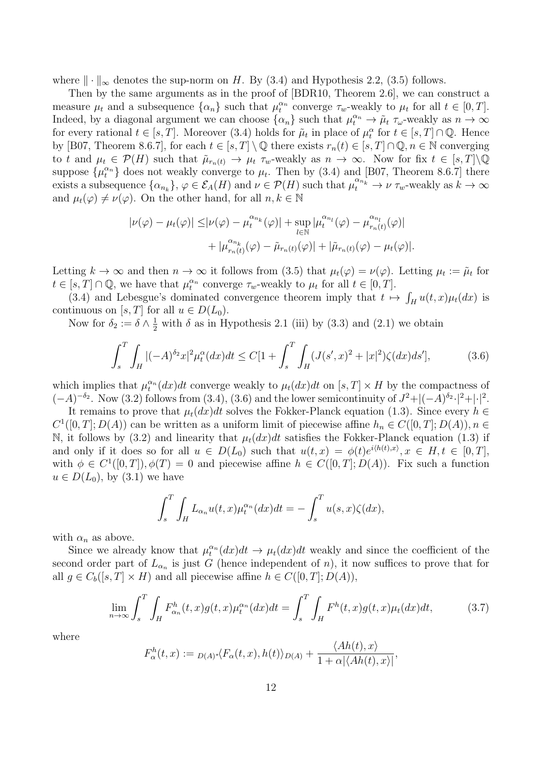where  $\|\cdot\|_{\infty}$  denotes the sup-norm on *H*. By (3.4) and Hypothesis 2.2, (3.5) follows.

Then by the same arguments as in the proof of [BDR10, Theorem 2.6], we can construct a measure  $\mu_t$  and a subsequence  $\{\alpha_n\}$  such that  $\mu_t^{\alpha_n}$  converge  $\tau_w$ -weakly to  $\mu_t$  for all  $t \in [0, T]$ . Indeed, by a diagonal argument we can choose  $\{\alpha_n\}$  such that  $\mu_t^{\alpha_n} \to \tilde{\mu}_t \tau_\omega$ -weakly as  $n \to \infty$ for every rational  $t \in [s, T]$ . Moreover (3.4) holds for  $\tilde{\mu}_t$  in place of  $\mu_t^{\alpha}$  for  $t \in [s, T] \cap \mathbb{Q}$ . Hence by [B07, Theorem 8.6.7], for each  $t \in [s, T] \setminus \mathbb{Q}$  there exists  $r_n(t) \in [s, T] \cap \mathbb{Q}, n \in \mathbb{N}$  converging to t and  $\mu_t \in \mathcal{P}(H)$  such that  $\tilde{\mu}_{r_n(t)} \to \mu_t \tau_w$ -weakly as  $n \to \infty$ . Now for fix  $t \in [s,T] \setminus \mathbb{Q}$ suppose  $\{\mu_t^{\alpha_n}\}\)$  does not weakly converge to  $\mu_t$ . Then by (3.4) and [B07, Theorem 8.6.7] there exists a subsequence  $\{\alpha_{n_k}\},\,\varphi\in\mathcal{E}_A(H)$  and  $\nu\in\mathcal{P}(H)$  such that  $\mu_t^{\alpha_{n_k}}\to\nu\tau_w$ -weakly as  $k\to\infty$ and  $\mu_t(\varphi) \neq \nu(\varphi)$ . On the other hand, for all  $n, k \in \mathbb{N}$ 

$$
|\nu(\varphi) - \mu_t(\varphi)| \leq |\nu(\varphi) - \mu_t^{\alpha_{n_k}}(\varphi)| + \sup_{l \in \mathbb{N}} |\mu_t^{\alpha_{n_l}}(\varphi) - \mu_{r_n(t)}^{\alpha_{n_l}}(\varphi)|
$$
  
+ 
$$
|\mu_{r_n(t)}^{\alpha_{n_k}}(\varphi) - \tilde{\mu}_{r_n(t)}(\varphi)| + |\tilde{\mu}_{r_n(t)}(\varphi) - \mu_t(\varphi)|.
$$

Letting  $k \to \infty$  and then  $n \to \infty$  it follows from (3.5) that  $\mu_t(\varphi) = \nu(\varphi)$ . Letting  $\mu_t := \tilde{\mu}_t$  for  $t \in [s, T] \cap \mathbb{Q}$ , we have that  $\mu_t^{\alpha_n}$  converge  $\tau_w$ -weakly to  $\mu_t$  for all  $t \in [0, T]$ .

(3.4) and Lebesgue's dominated convergence theorem imply that  $t \mapsto \int_H u(t,x)\mu_t(dx)$  is continuous on [ $s, T$ ] for all  $u \in D(L_0)$ .

Now for  $\delta_2 := \delta \wedge \frac{1}{2}$  with  $\delta$  as in Hypothesis 2.1 (iii) by (3.3) and (2.1) we obtain

$$
\int_{s}^{T} \int_{H} |(-A)^{\delta_2} x|^2 \mu_t^{\alpha}(dx) dt \le C[1 + \int_{s}^{T} \int_{H} (J(s', x)^2 + |x|^2) \zeta(dx) ds'],
$$
\n(3.6)

which implies that  $\mu_t^{\alpha_n}(dx)dt$  converge weakly to  $\mu_t(dx)dt$  on  $[s,T] \times H$  by the compactness of  $(-A)^{-\delta_2}$ . Now (3.2) follows from (3.4), (3.6) and the lower semicontinuity of  $J^2+|(-A)^{\delta_2}\cdot|^2+|\cdot|^2$ .

It remains to prove that  $\mu_t(dx)dt$  solves the Fokker-Planck equation (1.3). Since every  $h \in$  $C^1([0, T]; D(A))$  can be written as a uniform limit of piecewise affine  $h_n \in C([0, T]; D(A)), n \in$ N, it follows by (3.2) and linearity that  $\mu_t(dx)dt$  satisfies the Fokker-Planck equation (1.3) if and only if it does so for all  $u \in D(L_0)$  such that  $u(t,x) = \phi(t)e^{i\langle h(t),x \rangle}, x \in H, t \in [0,T],$ with  $\phi \in C^1([0,T])$ ,  $\phi(T) = 0$  and piecewise affine  $h \in C([0,T]; D(A))$ . Fix such a function  $u \in D(L_0)$ , by (3.1) we have

$$
\int_s^T \int_H L_{\alpha_n} u(t, x) \mu_t^{\alpha_n}(dx) dt = - \int_s^T u(s, x) \zeta(dx),
$$

with  $\alpha_n$  as above.

Since we already know that  $\mu_t^{\alpha_n}(dx)dt \to \mu_t(dx)dt$  weakly and since the coefficient of the second order part of  $L_{\alpha_n}$  is just *G* (hence independent of *n*), it now suffices to prove that for all *g* ∈ *C*<sub>*b*</sub>([*s*, *T*] × *H*) and all piecewise affine *h* ∈ *C*([0, *T*]; *D*(*A*)),

$$
\lim_{n \to \infty} \int_s^T \int_H F_{\alpha_n}^h(t, x) g(t, x) \mu_t^{\alpha_n}(dx) dt = \int_s^T \int_H F^h(t, x) g(t, x) \mu_t(dx) dt, \tag{3.7}
$$

where

$$
F_{\alpha}^{h}(t,x) := D(A)^{*}\langle F_{\alpha}(t,x), h(t) \rangle_{D(A)} + \frac{\langle Ah(t), x \rangle}{1 + \alpha |\langle Ah(t), x \rangle|},
$$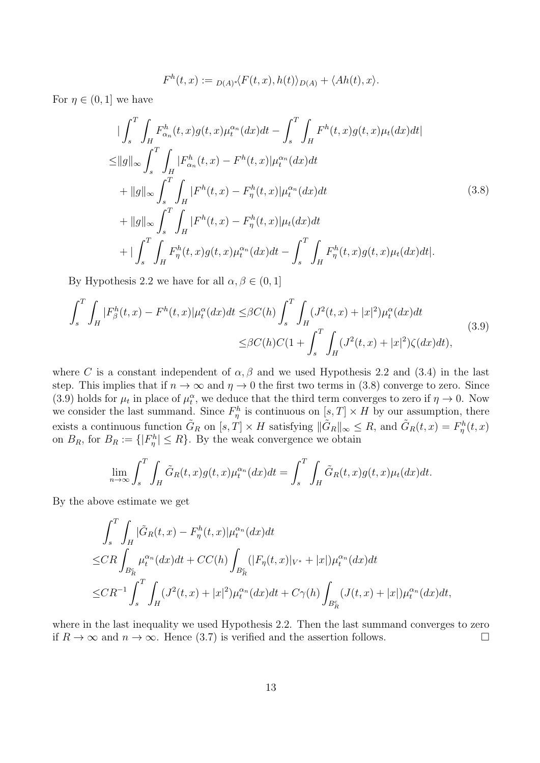$$
F^h(t,x) := D(A)^*\langle F(t,x), h(t) \rangle_{D(A)} + \langle Ah(t), x \rangle.
$$

For  $\eta \in (0,1]$  we have

$$
\begin{split}\n&\left|\int_{s}^{T} \int_{H} F_{\alpha_{n}}^{h}(t,x)g(t,x)\mu_{t}^{\alpha_{n}}(dx)dt - \int_{s}^{T} \int_{H} F^{h}(t,x)g(t,x)\mu_{t}(dx)dt\right| \\
&\leq& \|g\|_{\infty} \int_{s}^{T} \int_{H} |F_{\alpha_{n}}^{h}(t,x) - F^{h}(t,x)|\mu_{t}^{\alpha_{n}}(dx)dt \\
&+ \|g\|_{\infty} \int_{s}^{T} \int_{H} |F^{h}(t,x) - F^{h}_{\eta}(t,x)|\mu_{t}^{\alpha_{n}}(dx)dt \\
&+ \|g\|_{\infty} \int_{s}^{T} \int_{H} |F^{h}(t,x) - F^{h}_{\eta}(t,x)|\mu_{t}(dx)dt \\
&+ \int_{s}^{T} \int_{H} F^{h}_{\eta}(t,x)g(t,x)\mu_{t}^{\alpha_{n}}(dx)dt - \int_{s}^{T} \int_{H} F^{h}_{\eta}(t,x)g(t,x)\mu_{t}(dx)dt].\n\end{split} \tag{3.8}
$$

By Hypothesis 2.2 we have for all  $\alpha, \beta \in (0, 1]$ 

$$
\int_{s}^{T} \int_{H} |F_{\beta}^{h}(t,x) - F^{h}(t,x)| \mu_{t}^{\alpha}(dx)dt \leq \beta C(h) \int_{s}^{T} \int_{H} (J^{2}(t,x) + |x|^{2}) \mu_{t}^{\alpha}(dx)dt
$$
\n
$$
\leq \beta C(h)C(1 + \int_{s}^{T} \int_{H} (J^{2}(t,x) + |x|^{2})\zeta(dx)dt),
$$
\n(3.9)

where *C* is a constant independent of  $\alpha$ ,  $\beta$  and we used Hypothesis 2.2 and (3.4) in the last step. This implies that if  $n \to \infty$  and  $\eta \to 0$  the first two terms in (3.8) converge to zero. Since (3.9) holds for  $\mu_t$  in place of  $\mu_t^{\alpha}$ , we deduce that the third term converges to zero if  $\eta \to 0$ . Now we consider the last summand. Since  $F_{\eta}^h$  is continuous on  $[s,T] \times H$  by our assumption, there exists a continuous function  $\tilde{G}_R$  on  $[s, T] \times H$  satisfying  $\|\tilde{G}_R\|_{\infty} \leq R$ , and  $\tilde{G}_R(t, x) = F_{\eta}^h(t, x)$ on  $B_R$ , for  $B_R := \{ |F_{\eta}^h| \leq R \}$ . By the weak convergence we obtain

$$
\lim_{n \to \infty} \int_s^T \int_H \tilde{G}_R(t,x) g(t,x) \mu_t^{\alpha_n}(dx) dt = \int_s^T \int_H \tilde{G}_R(t,x) g(t,x) \mu_t(dx) dt.
$$

By the above estimate we get

$$
\int_{s}^{T} \int_{H} |\tilde{G}_{R}(t,x) - F_{\eta}^{h}(t,x)| \mu_{t}^{\alpha_{n}}(dx)dt
$$
  
\n
$$
\leq CR \int_{B_{R}^{c}} \mu_{t}^{\alpha_{n}}(dx)dt + CC(h) \int_{B_{R}^{c}} (|F_{\eta}(t,x)|_{V^{*}} + |x|) \mu_{t}^{\alpha_{n}}(dx)dt
$$
  
\n
$$
\leq CR^{-1} \int_{s}^{T} \int_{H} (J^{2}(t,x) + |x|^{2}) \mu_{t}^{\alpha_{n}}(dx)dt + C\gamma(h) \int_{B_{R}^{c}} (J(t,x) + |x|) \mu_{t}^{\alpha_{n}}(dx)dt,
$$

where in the last inequality we used Hypothesis 2.2. Then the last summand converges to zero if  $R \to \infty$  and  $n \to \infty$ . Hence (3.7) is verified and the assertion follows. □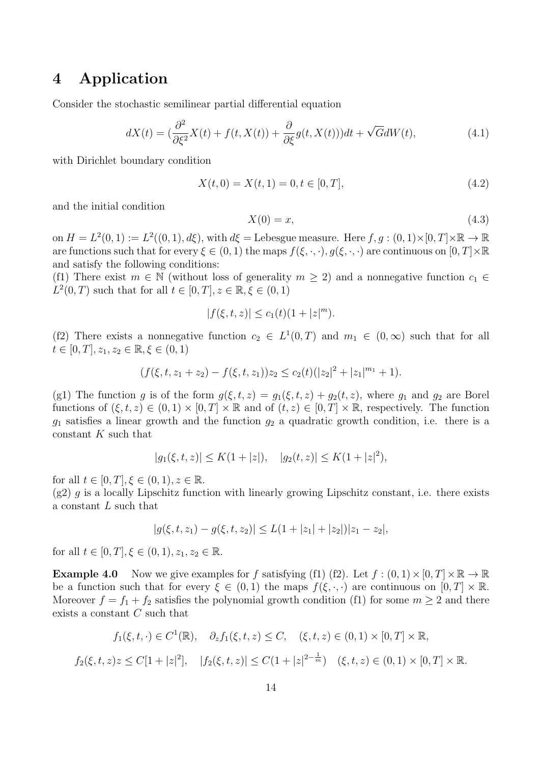# **4 Application**

Consider the stochastic semilinear partial differential equation

$$
dX(t) = \left(\frac{\partial^2}{\partial \xi^2} X(t) + f(t, X(t)) + \frac{\partial}{\partial \xi} g(t, X(t))\right)dt + \sqrt{G}dW(t),\tag{4.1}
$$

with Dirichlet boundary condition

$$
X(t,0) = X(t,1) = 0, t \in [0,T],
$$
\n(4.2)

and the initial condition

$$
X(0) = x,\tag{4.3}
$$

on  $H = L^2(0, 1) := L^2((0, 1), d\xi)$ , with  $d\xi$  = Lebesgue measure. Here  $f, g : (0, 1) \times [0, T] \times \mathbb{R} \to \mathbb{R}$ are functions such that for every  $\xi \in (0,1)$  the maps  $f(\xi, \cdot, \cdot), g(\xi, \cdot, \cdot)$  are continuous on  $[0, T] \times \mathbb{R}$ and satisfy the following conditions:

(f1) There exist  $m \in \mathbb{N}$  (without loss of generality  $m \geq 2$ ) and a nonnegative function  $c_1 \in$ *L*<sup>2</sup>(0*,T*) such that for all  $t \in [0, T]$ ,  $z \in \mathbb{R}, \xi \in (0, 1)$ 

$$
|f(\xi, t, z)| \le c_1(t)(1 + |z|^m).
$$

(f2) There exists a nonnegative function  $c_2 \in L^1(0,T)$  and  $m_1 \in (0,\infty)$  such that for all  $t \in [0, T], z_1, z_2 \in \mathbb{R}, \xi \in (0, 1)$ 

$$
(f(\xi, t, z_1 + z_2) - f(\xi, t, z_1))z_2 \le c_2(t)(|z_2|^2 + |z_1|^{m_1} + 1).
$$

(g1) The function *g* is of the form  $g(\xi, t, z) = g_1(\xi, t, z) + g_2(t, z)$ , where  $g_1$  and  $g_2$  are Borel functions of  $(\xi, t, z) \in (0, 1) \times [0, T] \times \mathbb{R}$  and of  $(t, z) \in [0, T] \times \mathbb{R}$ , respectively. The function *g*<sup>1</sup> satisfies a linear growth and the function *g*<sup>2</sup> a quadratic growth condition, i.e. there is a constant *K* such that

$$
|g_1(\xi, t, z)| \le K(1+|z|), \quad |g_2(t, z)| \le K(1+|z|^2),
$$

for all  $t \in [0, T]$ ,  $\xi \in (0, 1)$ ,  $z \in \mathbb{R}$ .

(g2) *g* is a locally Lipschitz function with linearly growing Lipschitz constant, i.e. there exists a constant *L* such that

$$
|g(\xi, t, z_1) - g(\xi, t, z_2)| \le L(1 + |z_1| + |z_2|)|z_1 - z_2|,
$$

for all  $t \in [0, T]$ ,  $\xi \in (0, 1)$ ,  $z_1, z_2 \in \mathbb{R}$ .

**Example 4.0** Now we give examples for *f* satisfying (f1) (f2). Let  $f : (0,1) \times [0,T] \times \mathbb{R} \to \mathbb{R}$ be a function such that for every  $\xi \in (0,1)$  the maps  $f(\xi, \cdot, \cdot)$  are continuous on  $[0, T] \times \mathbb{R}$ . Moreover  $f = f_1 + f_2$  satisfies the polynomial growth condition (f1) for some  $m \geq 2$  and there exists a constant *C* such that

$$
f_1(\xi, t, \cdot) \in C^1(\mathbb{R}), \quad \partial_z f_1(\xi, t, z) \le C, \quad (\xi, t, z) \in (0, 1) \times [0, T] \times \mathbb{R},
$$
  

$$
f_2(\xi, t, z)z \le C[1 + |z|^2], \quad |f_2(\xi, t, z)| \le C(1 + |z|^{2 - \frac{1}{m}}) \quad (\xi, t, z) \in (0, 1) \times [0, T] \times \mathbb{R}.
$$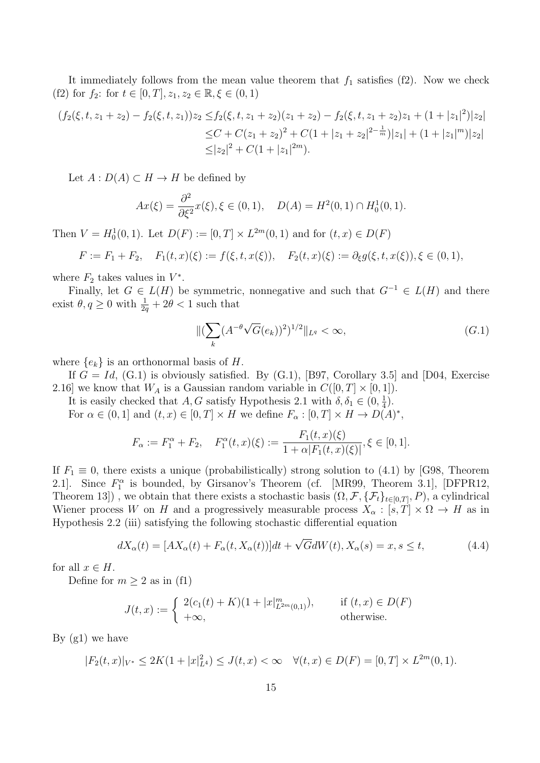It immediately follows from the mean value theorem that  $f_1$  satisfies (f2). Now we check (f2) for  $f_2$ : for  $t \in [0, T]$ ,  $z_1, z_2 \in \mathbb{R}, \xi \in (0, 1)$ 

$$
(f_2(\xi, t, z_1 + z_2) - f_2(\xi, t, z_1))z_2 \le f_2(\xi, t, z_1 + z_2)(z_1 + z_2) - f_2(\xi, t, z_1 + z_2)z_1 + (1 + |z_1|^2)|z_2|
$$
  
\n
$$
\le C + C(z_1 + z_2)^2 + C(1 + |z_1 + z_2|^{2 - \frac{1}{m}})|z_1| + (1 + |z_1|^m)|z_2|
$$
  
\n
$$
\le |z_2|^2 + C(1 + |z_1|^{2m}).
$$

Let  $A: D(A) \subset H \to H$  be defined by

$$
Ax(\xi) = \frac{\partial^2}{\partial \xi^2} x(\xi), \xi \in (0, 1), \quad D(A) = H^2(0, 1) \cap H_0^1(0, 1).
$$

Then  $V = H_0^1(0, 1)$ . Let  $D(F) := [0, T] \times L^{2m}(0, 1)$  and for  $(t, x) \in D(F)$ 

$$
F := F_1 + F_2, \quad F_1(t, x)(\xi) := f(\xi, t, x(\xi)), \quad F_2(t, x)(\xi) := \partial_{\xi} g(\xi, t, x(\xi)), \xi \in (0, 1),
$$

where  $F_2$  takes values in  $V^*$ .

Finally, let  $G \in L(H)$  be symmetric, nonnegative and such that  $G^{-1} \in L(H)$  and there exist  $\theta, q \ge 0$  with  $\frac{1}{2q} + 2\theta < 1$  such that

$$
\|(\sum_{k} (A^{-\theta}\sqrt{G}(e_k))^2)^{1/2}\|_{L^q} < \infty,\tag{G.1}
$$

where  $\{e_k\}$  is an orthonormal basis of *H*.

If  $G = Id$ , (G.1) is obviously satisfied. By (G.1), [B97, Corollary 3.5] and [D04, Exercise 2.16] we know that  $W_A$  is a Gaussian random variable in  $C([0, T] \times [0, 1])$ .

It is easily checked that *A*, *G* satisfy Hypothesis 2.1 with  $\delta, \delta_1 \in (0, \frac{1}{4})$  $\frac{1}{4}$ .

For  $\alpha \in (0,1]$  and  $(t, x) \in [0,T] \times H$  we define  $F_{\alpha} : [0,T] \times H \rightarrow D(A)^{*}$ ,

$$
F_{\alpha} := F_1^{\alpha} + F_2, \quad F_1^{\alpha}(t, x)(\xi) := \frac{F_1(t, x)(\xi)}{1 + \alpha |F_1(t, x)(\xi)|}, \xi \in [0, 1].
$$

If  $F_1 \equiv 0$ , there exists a unique (probabilistically) strong solution to (4.1) by [G98, Theorem 2.1]. Since  $F_1^{\alpha}$  is bounded, by Girsanov's Theorem (cf. [MR99, Theorem 3.1], [DFPR12, Theorem 13]), we obtain that there exists a stochastic basis  $(\Omega, \mathcal{F}, \{\mathcal{F}_t\}_{t\in[0,T]}, P)$ , a cylindrical Wiener process *W* on *H* and a progressively measurable process  $X_\alpha : [s, T] \times \Omega \to H$  as in Hypothesis 2.2 (iii) satisfying the following stochastic differential equation

$$
dX_{\alpha}(t) = [AX_{\alpha}(t) + F_{\alpha}(t, X_{\alpha}(t))]dt + \sqrt{G}dW(t), X_{\alpha}(s) = x, s \le t,
$$
\n(4.4)

for all  $x \in H$ .

Define for  $m > 2$  as in (f1)

$$
J(t,x) := \begin{cases} 2(c_1(t) + K)(1 + |x|_{L^{2m}(0,1)}^m), & \text{if } (t,x) \in D(F) \\ +\infty, & \text{otherwise.} \end{cases}
$$

By (g1) we have

$$
|F_2(t,x)|_{V^*} \le 2K(1+|x|_{L^4}^2) \le J(t,x) < \infty \quad \forall (t,x) \in D(F) = [0,T] \times L^{2m}(0,1).
$$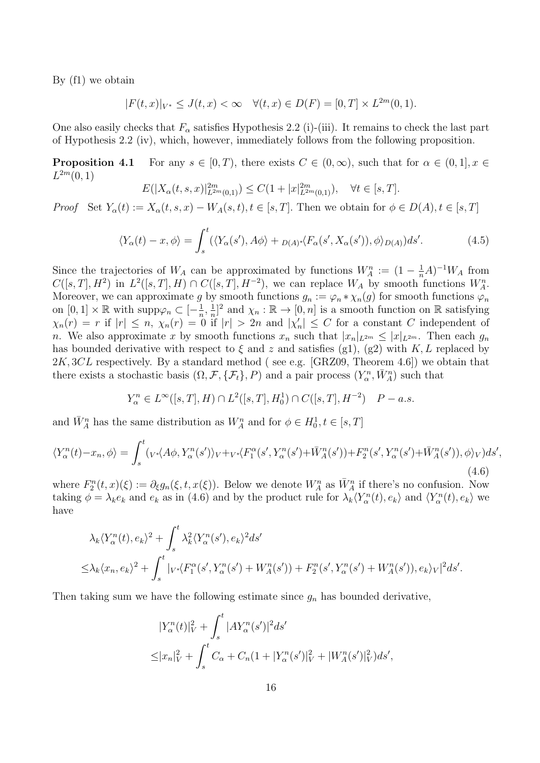By (f1) we obtain

$$
|F(t,x)|_{V^*} \le J(t,x) < \infty \quad \forall (t,x) \in D(F) = [0,T] \times L^{2m}(0,1).
$$

One also easily checks that  $F_\alpha$  satisfies Hypothesis 2.2 (i)-(iii). It remains to check the last part of Hypothesis 2.2 (iv), which, however, immediately follows from the following proposition.

**Proposition 4.1** For any  $s \in [0, T)$ , there exists  $C \in (0, \infty)$ , such that for  $\alpha \in (0, 1]$ ,  $x \in$  $L^{2m}(0,1)$ 

$$
E(|X_{\alpha}(t,s,x)|_{L^{2m}(0,1)}^{2m}) \leq C(1+|x|_{L^{2m}(0,1)}^{2m}), \quad \forall t \in [s,T].
$$

*Proof* Set  $Y_{\alpha}(t) := X_{\alpha}(t, s, x) - W_A(s, t), t \in [s, T]$ . Then we obtain for  $\phi \in D(A), t \in [s, T]$ 

$$
\langle Y_{\alpha}(t) - x, \phi \rangle = \int_{s}^{t} (\langle Y_{\alpha}(s'), A\phi \rangle +_{D(A)^{*}} \langle F_{\alpha}(s', X_{\alpha}(s')), \phi \rangle_{D(A)}) ds'. \tag{4.5}
$$

Since the trajectories of  $W_A$  can be approximated by functions  $W_A^n := (1 - \frac{1}{n}A)^{-1}W_A$  from  $C([s,T], H^2)$  in  $L^2([s,T], H) \cap C([s,T], H^{-2})$ , we can replace  $W_A$  by smooth functions  $W_A^n$ . Moreover, we can approximate *g* by smooth functions  $g_n := \varphi_n * \chi_n(g)$  for smooth functions  $\varphi_n$ on  $[0,1] \times \mathbb{R}$  with supp $\varphi_n \subset [-\frac{1}{n}]$  $\frac{1}{n}$ ,  $\frac{1}{n}$  $\frac{1}{n}$ <sup>2</sup> and  $\chi_n : \mathbb{R} \to [0, n]$  is a smooth function on R satisfying  $\chi_n(r) = r$  if  $|r| \leq n$ ,  $\chi_n(r) = 0$  if  $|r| > 2n$  and  $|\chi'_n| \leq C$  for a constant C independent of *n*. We also approximate *x* by smooth functions  $x_n$  such that  $|x_n|_{L^{2m}} \leq |x|_{L^{2m}}$ . Then each  $g_n$ has bounded derivative with respect to  $\xi$  and  $z$  and satisfies (g1), (g2) with  $K, L$  replaced by 2*K,* 3*CL* respectively. By a standard method ( see e.g. [GRZ09, Theorem 4.6]) we obtain that there exists a stochastic basis  $(\Omega, \mathcal{F}, \{\mathcal{F}_t\}, P)$  and a pair process  $(Y_\alpha^n, \bar{W}_A^n)$  such that

$$
Y_{\alpha}^{n} \in L^{\infty}([s, T], H) \cap L^{2}([s, T], H_{0}^{1}) \cap C([s, T], H^{-2}) \quad P-a.s.
$$

and  $\overline{W}_A^n$  has the same distribution as  $W_A^n$  and for  $\phi \in H_0^1, t \in [s, T]$ 

$$
\langle Y_{\alpha}^{n}(t) - x_{n}, \phi \rangle = \int_{s}^{t} \langle v \cdot \langle A\phi, Y_{\alpha}^{n}(s') \rangle_{V} + v \cdot \langle F_{1}^{\alpha}(s', Y_{\alpha}^{n}(s') + \bar{W}_{A}^{n}(s')) + F_{2}^{n}(s', Y_{\alpha}^{n}(s') + \bar{W}_{A}^{n}(s')), \phi \rangle_{V} ds',
$$
\n(4.6)

where  $F_2^n(t, x)(\xi) := \partial_{\xi}g_n(\xi, t, x(\xi))$ . Below we denote  $W_A^n$  as  $\bar{W}_A^n$  if there's no confusion. Now taking  $\phi = \lambda_k e_k$  and  $e_k$  as in (4.6) and by the product rule for  $\lambda_k \langle Y_\alpha^n(t), e_k \rangle$  and  $\langle Y_\alpha^n(t), e_k \rangle$  we have

$$
\lambda_k \langle Y_{\alpha}^n(t), e_k \rangle^2 + \int_s^t \lambda_k^2 \langle Y_{\alpha}^n(s'), e_k \rangle^2 ds'
$$
  

$$
\leq \lambda_k \langle x_n, e_k \rangle^2 + \int_s^t |_{V^*} \langle F_1^{\alpha}(s', Y_{\alpha}^n(s') + W_A^n(s')) + F_2^n(s', Y_{\alpha}^n(s') + W_A^n(s')), e_k \rangle_V|^2 ds'.
$$

Then taking sum we have the following estimate since *g<sup>n</sup>* has bounded derivative,

$$
|Y_{\alpha}^{n}(t)|_{V}^{2} + \int_{s}^{t} |AY_{\alpha}^{n}(s')|^{2} ds'
$$
  

$$
\leq |x_{n}|_{V}^{2} + \int_{s}^{t} C_{\alpha} + C_{n}(1 + |Y_{\alpha}^{n}(s')|_{V}^{2} + |W_{A}^{n}(s')|_{V}^{2}) ds',
$$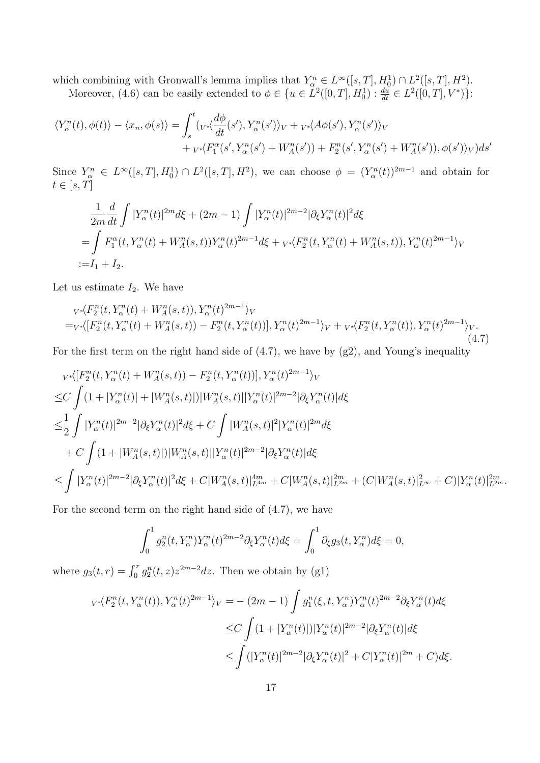which combining with Gronwall's lemma implies that  $Y_{\alpha}^{n} \in L^{\infty}([s, T], H_0^1) \cap L^2([s, T], H^2)$ . Moreover, (4.6) can be easily extended to  $\phi \in \{u \in L^2([0, T], H_0^1) : \frac{du}{dt} \in L^2([0, T], V^*)\}$ :

$$
\langle Y_{\alpha}^{n}(t),\phi(t)\rangle - \langle x_{n},\phi(s)\rangle = \int_{s}^{t} \langle v*\langle \frac{d\phi}{dt}(s'),Y_{\alpha}^{n}(s')\rangle_{V} + \langle v*\langle A\phi(s'),Y_{\alpha}^{n}(s')\rangle_{V} + \langle v*\langle F_{1}^{\alpha}(s',Y_{\alpha}^{n}(s') + W_{A}^{n}(s')) + F_{2}^{n}(s',Y_{\alpha}^{n}(s') + W_{A}^{n}(s')),\phi(s')\rangle_{V}\rangle ds'
$$

Since  $Y_{\alpha}^n \in L^{\infty}([s,T], H_0^1) \cap L^2([s,T], H^2)$ , we can choose  $\phi = (Y_{\alpha}^n(t))^{2m-1}$  and obtain for *t ∈* [*s, T*]

$$
\frac{1}{2m}\frac{d}{dt}\int |Y_{\alpha}^{n}(t)|^{2m}d\xi + (2m-1)\int |Y_{\alpha}^{n}(t)|^{2m-2}|\partial_{\xi}Y_{\alpha}^{n}(t)|^{2}d\xi
$$
\n
$$
= \int F_{1}^{\alpha}(t,Y_{\alpha}^{n}(t) + W_{A}^{n}(s,t))Y_{\alpha}^{n}(t)^{2m-1}d\xi + \frac{1}{2}\left\langle F_{2}^{n}(t,Y_{\alpha}^{n}(t) + W_{A}^{n}(s,t)), Y_{\alpha}^{n}(t)^{2m-1}\right\rangle_{V}
$$
\n
$$
:=I_{1} + I_{2}.
$$

Let us estimate *I*2. We have

$$
v^*\langle F_2^n(t, Y_\alpha^n(t) + W_A^n(s, t)), Y_\alpha^n(t)^{2m-1} \rangle_V = v^*\langle [F_2^n(t, Y_\alpha^n(t) + W_A^n(s, t)) - F_2^n(t, Y_\alpha^n(t))], Y_\alpha^n(t)^{2m-1} \rangle_V + v^*\langle F_2^n(t, Y_\alpha^n(t)), Y_\alpha^n(t)^{2m-1} \rangle_V.
$$
\n(4.7)

For the first term on the right hand side of  $(4.7)$ , we have by  $(g2)$ , and Young's inequality

$$
v^{*}\langle [F_{2}^{n}(t, Y_{\alpha}^{n}(t) + W_{A}^{n}(s, t)) - F_{2}^{n}(t, Y_{\alpha}^{n}(t))], Y_{\alpha}^{n}(t)^{2m-1} \rangle_{V}
$$
  
\n
$$
\leq C \int (1 + |Y_{\alpha}^{n}(t)| + |W_{A}^{n}(s, t)|) |W_{A}^{n}(s, t)| |Y_{\alpha}^{n}(t)|^{2m-2} |\partial_{\xi} Y_{\alpha}^{n}(t)| d\xi
$$
  
\n
$$
\leq \frac{1}{2} \int |Y_{\alpha}^{n}(t)|^{2m-2} |\partial_{\xi} Y_{\alpha}^{n}(t)|^{2} d\xi + C \int |W_{A}^{n}(s, t)|^{2} |Y_{\alpha}^{n}(t)|^{2m} d\xi
$$
  
\n
$$
+ C \int (1 + |W_{A}^{n}(s, t)|) |W_{A}^{n}(s, t)| |Y_{\alpha}^{n}(t)|^{2m-2} |\partial_{\xi} Y_{\alpha}^{n}(t)| d\xi
$$
  
\n
$$
\leq \int |Y_{\alpha}^{n}(t)|^{2m-2} |\partial_{\xi} Y_{\alpha}^{n}(t)|^{2} d\xi + C |W_{A}^{n}(s, t)| |_{L^{4m}}^{4m} + C |W_{A}^{n}(s, t)| |_{L^{2m}}^{2m} + (C |W_{A}^{n}(s, t)| |_{L^{\infty}}^{2m} + C |Y_{\alpha}^{n}(t)| |_{L^{2m}}^{2m}.
$$

For the second term on the right hand side of (4.7), we have

$$
\int_0^1 g_2^n(t, Y_\alpha^n) Y_\alpha^n(t)^{2m-2} \partial_\xi Y_\alpha^n(t) d\xi = \int_0^1 \partial_\xi g_3(t, Y_\alpha^n) d\xi = 0,
$$

where  $g_3(t, r) = \int_0^r g_2^n(t, z) z^{2m-2} dz$ . Then we obtain by (g1)

$$
\begin{split} \n\psi \langle F_2^n(t, Y_\alpha^n(t)), Y_\alpha^n(t)^{2m-1} \rangle_V &= -(2m-1) \int g_1^n(\xi, t, Y_\alpha^n) Y_\alpha^n(t)^{2m-2} \partial_\xi Y_\alpha^n(t) d\xi \\ \n&\le C \int (1+|Y_\alpha^n(t)|) |Y_\alpha^n(t)|^{2m-2} |\partial_\xi Y_\alpha^n(t)| d\xi \\ \n&\le \int (|Y_\alpha^n(t)|^{2m-2} |\partial_\xi Y_\alpha^n(t)|^2 + C|Y_\alpha^n(t)|^{2m} + C) d\xi. \n\end{split}
$$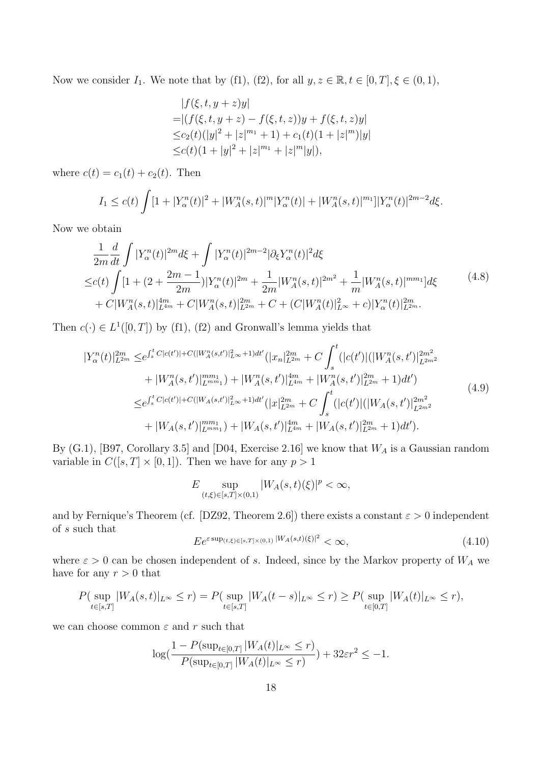Now we consider  $I_1$ . We note that by (f1), (f2), for all  $y, z \in \mathbb{R}, t \in [0, T], \xi \in (0, 1)$ ,

$$
|f(\xi, t, y+z)y|
$$
  
=|(f(\xi, t, y+z) - f(\xi, t, z))y + f(\xi, t, z)y|  
\leq c\_2(t)(|y|^2 + |z|^{m\_1} + 1) + c\_1(t)(1 + |z|^m)|y|  
\leq c(t)(1 + |y|^2 + |z|^{m\_1} + |z|^m|y|),

where  $c(t) = c_1(t) + c_2(t)$ . Then

$$
I_1 \leq c(t) \int [1+|Y_{\alpha}^n(t)|^2+|W_A^n(s,t)|^m|Y_{\alpha}^n(t)|+|W_A^n(s,t)|^{m_1}]|Y_{\alpha}^n(t)|^{2m-2}d\xi.
$$

Now we obtain

$$
\frac{1}{2m}\frac{d}{dt}\int |Y_{\alpha}^{n}(t)|^{2m}d\xi + \int |Y_{\alpha}^{n}(t)|^{2m-2}|\partial_{\xi}Y_{\alpha}^{n}(t)|^{2}d\xi \leq c(t)\int [1+(2+\frac{2m-1}{2m})|Y_{\alpha}^{n}(t)|^{2m} + \frac{1}{2m}|W_{A}^{n}(s,t)|^{2m^{2}} + \frac{1}{m}|W_{A}^{n}(s,t)|^{mn_{1}}]d\xi + C|W_{A}^{n}(s,t)|_{L^{4m}}^{4m} + C|W_{A}^{n}(s,t)|_{L^{2m}}^{2m} + C + (C|W_{A}^{n}(t)|_{L^{\infty}}^{2} + c)|Y_{\alpha}^{n}(t)|_{L^{2m}}^{2m}.
$$
\n(4.8)

Then  $c(\cdot) \in L^1([0,T])$  by (f1), (f2) and Gronwall's lemma yields that

$$
|Y_{\alpha}^{n}(t)|_{L^{2m}}^{2m} \leq e^{\int_{s}^{t} C|c(t')| + C(|W_{A}^{n}(s,t')|_{L^{\infty}}^{2} + 1)dt'} (|x_{n}|_{L^{2m}}^{2m} + C \int_{s}^{t} (|c(t')| (|W_{A}^{n}(s,t')|_{L^{2m}}^{2m^{2}} + |W_{A}^{n}(s,t')|_{L^{m_{m_{1}}}^{m_{m_{1}}}^{m_{m_{1}}} ) + |W_{A}^{n}(s,t')|_{L^{4m}}^{4m} + |W_{A}^{n}(s,t')|_{L^{2m}}^{2m} + 1)dt')
$$
  

$$
\leq e^{\int_{s}^{t} C|c(t')| + C(|W_{A}(s,t')|_{L^{\infty}}^{2} + 1)dt'} (|x|_{L^{2m}}^{2m} + C \int_{s}^{t} (|c(t')| (|W_{A}(s,t')|_{L^{2m}}^{2m^{2}} + |W_{A}(s,t')|_{L^{m_{m_{1}}}^{m_{m_{1}}}^{m_{m_{1}}} ) + |W_{A}(s,t')|_{L^{4m}}^{4m} + |W_{A}(s,t')|_{L^{2m}}^{2m} + 1)dt'). \tag{4.9}
$$

By (G.1), [B97, Corollary 3.5] and [D04, Exercise 2.16] we know that *W<sup>A</sup>* is a Gaussian random variable in  $C([s,T] \times [0,1])$ . Then we have for any  $p > 1$ 

$$
E \sup_{(t,\xi)\in[s,T]\times(0,1)} |W_A(s,t)(\xi)|^p < \infty,
$$

and by Fernique's Theorem (cf. [DZ92, Theorem 2.6]) there exists a constant  $\varepsilon > 0$  independent of *s* such that

$$
E e^{\varepsilon \sup_{(t,\xi)\in[s,T]\times(0,1)}|W_A(s,t)(\xi)|^2} < \infty,\tag{4.10}
$$

where  $\varepsilon > 0$  can be chosen independent of *s*. Indeed, since by the Markov property of  $W_A$  we have for any  $r > 0$  that

$$
P(\sup_{t \in [s,T]} |W_A(s,t)|_{L^{\infty}} \le r) = P(\sup_{t \in [s,T]} |W_A(t-s)|_{L^{\infty}} \le r) \ge P(\sup_{t \in [0,T]} |W_A(t)|_{L^{\infty}} \le r),
$$

we can choose common  $\varepsilon$  and  $r$  such that

$$
\log(\frac{1 - P(\sup_{t \in [0,T]} |W_A(t)|_{L^{\infty}} \le r)}{P(\sup_{t \in [0,T]} |W_A(t)|_{L^{\infty}} \le r)}) + 32\varepsilon r^2 \le -1.
$$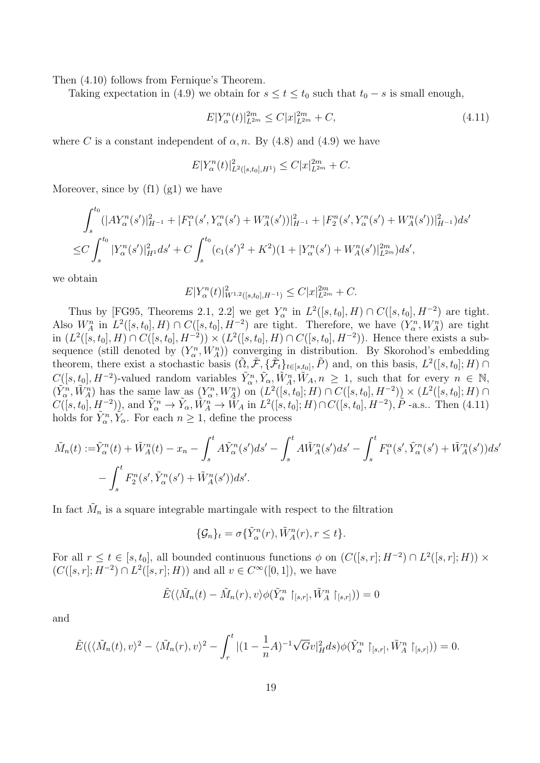Then (4.10) follows from Fernique's Theorem.

Taking expectation in (4.9) we obtain for  $s \le t \le t_0$  such that  $t_0 - s$  is small enough,

$$
E|Y_{\alpha}^{n}(t)|_{L^{2m}}^{2m} \leq C|x|_{L^{2m}}^{2m} + C,
$$
\n(4.11)

where *C* is a constant independent of  $\alpha$ , *n*. By (4.8) and (4.9) we have

$$
E|Y_{\alpha}^{n}(t)|_{L^{2}([s,t_{0}],H^{1})}^{2} \leq C|x|_{L^{2m}}^{2m} + C.
$$

Moreover, since by  $(f1)$   $(g1)$  we have

$$
\int_{s}^{t_{0}} (|AY_{\alpha}^{n}(s')|_{H^{-1}}^{2} + |F_{1}^{\alpha}(s', Y_{\alpha}^{n}(s') + W_{A}^{n}(s'))|_{H^{-1}}^{2} + |F_{2}^{n}(s', Y_{\alpha}^{n}(s') + W_{A}^{n}(s'))|_{H^{-1}}^{2})ds'
$$
  
\n
$$
\leq C \int_{s}^{t_{0}} |Y_{\alpha}^{n}(s')|_{H^{1}}^{2} ds' + C \int_{s}^{t_{0}} (c_{1}(s')^{2} + K^{2})(1 + |Y_{\alpha}^{n}(s') + W_{A}^{n}(s')|_{L^{2m}}^{2m})ds',
$$

we obtain

$$
E|Y_{\alpha}^{n}(t)|_{W^{1,2}([s,t_0],H^{-1})}^{2} \leq C|x|_{L^{2m}}^{2m} + C.
$$

Thus by [FG95, Theorems 2.1, 2.2] we get  $Y_{\alpha}^{n}$  in  $L^{2}([s,t_{0}],H) \cap C([s,t_{0}],H^{-2})$  are tight. Also  $W_A^n$  in  $L^2([s,t_0], H) \cap C([s,t_0], H^{-2})$  are tight. Therefore, we have  $(Y_\alpha^n, W_A^n)$  are tight in  $(L^2([s,t_0],H)\cap C([s,t_0],H^{-2}))\times (L^2([s,t_0],H)\cap C([s,t_0],H^{-2}))$ . Hence there exists a subsequence (still denoted by  $(Y_\alpha^n, W_A^n)$ ) converging in distribution. By Skorohod's embedding theorem, there exist a stochastic basis  $(\tilde{\Omega}, \tilde{\mathcal{F}}, \{\tilde{\mathcal{F}}_t\}_{t\in[s,t_0]}, \tilde{P})$  and, on this basis,  $L^2([s,t_0]; H) \cap$  $C([s, t_0], H^{-2})$ -valued random variables  $\tilde{Y}_{\alpha}^n, \tilde{Y}_{\alpha}, \tilde{W}_A^n, \tilde{W}_A, n \geq 1$ , such that for every  $n \in \mathbb{N}$ ,  $(\tilde{Y}_{\alpha}^{n}, \tilde{W}_{A}^{n})$  has the same law as  $(Y_{\alpha}^{n}, W_{A}^{n})$  on  $(L^{2}([s,t_{0}];H) \cap C([s,t_{0}],H^{-2})) \times (L^{2}([s,t_{0}];H) \cap$  $C([s,t_0], H^{-2})$ , and  $\tilde{Y}_\alpha^n \to \tilde{Y}_\alpha, \tilde{W}_A^n \to \tilde{W}_A$  in  $L^2([s,t_0];H) \cap C([s,t_0], H^{-2}),$   $\tilde{P}$  -a.s.. Then (4.11) holds for  $\tilde{Y}_{\alpha}^{n}, \tilde{Y}_{\alpha}$ . For each  $n \geq 1$ , define the process

$$
\tilde{M}_n(t) := \tilde{Y}_\alpha^n(t) + \tilde{W}_A^n(t) - x_n - \int_s^t A \tilde{Y}_\alpha^n(s') ds' - \int_s^t A \tilde{W}_A^n(s') ds' - \int_s^t F_1^\alpha(s', \tilde{Y}_\alpha^n(s') + \tilde{W}_A^n(s')) ds' - \int_s^t F_2^n(s', \tilde{Y}_\alpha^n(s') + \tilde{W}_A^n(s')) ds'.
$$

In fact  $\tilde{M}_n$  is a square integrable martingale with respect to the filtration

$$
\{\mathcal{G}_n\}_t = \sigma\{\tilde{Y}_\alpha^n(r), \tilde{W}_A^n(r), r \le t\}.
$$

For all  $r \le t \in [s, t_0]$ , all bounded continuous functions  $\phi$  on  $(C([s, r]; H^{-2}) \cap L^2([s, r]; H)) \times$  $(C([s, r]; H^{-2}) ∩ L^2([s, r]; H))$  and all  $v ∈ C^{\infty}([0, 1]),$  we have

$$
\tilde{E}(\langle \tilde{M}_n(t) - \tilde{M}_n(r), v \rangle \phi(\tilde{Y}_{\alpha}^n \upharpoonright_{[s,r]}, \tilde{W}_{A}^n \upharpoonright_{[s,r]})) = 0
$$

and

$$
\tilde{E}((\langle \tilde{M}_n(t), v \rangle^2 - \langle \tilde{M}_n(r), v \rangle^2 - \int_r^t |(1 - \frac{1}{n}A)^{-1} \sqrt{G}v|_H^2 ds) \phi(\tilde{Y}_\alpha^n \upharpoonright_{[s,r]}, \tilde{W}_A^n \upharpoonright_{[s,r]})) = 0.
$$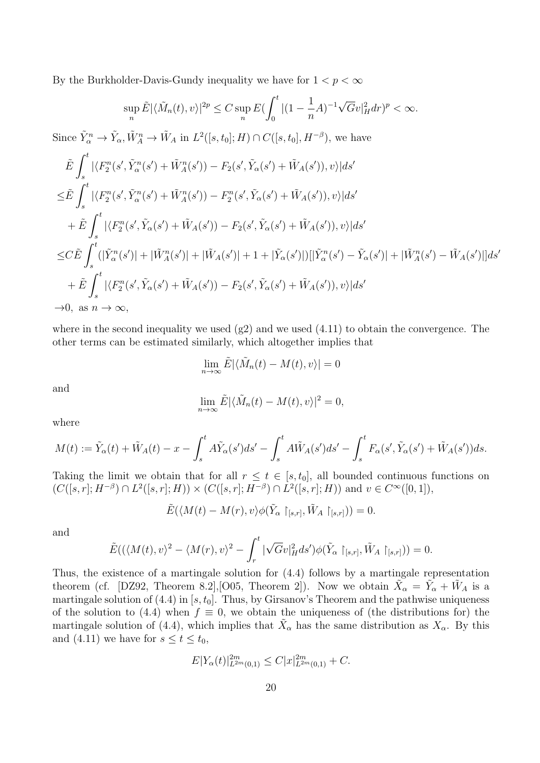By the Burkholder-Davis-Gundy inequality we have for  $1 < p < \infty$ 

$$
\sup_{n} \tilde{E}|\langle \tilde{M}_{n}(t), v \rangle|^{2p} \leq C \sup_{n} E\left(\int_{0}^{t} |(1 - \frac{1}{n}A)^{-1}\sqrt{G}v|_{H}^{2} dr\right)^{p} < \infty.
$$
  
\nSince  $\tilde{Y}_{\alpha}^{n} \to \tilde{Y}_{\alpha}, \tilde{W}_{A}^{n} \to \tilde{W}_{A}$  in  $L^{2}([s, t_{0}]; H) \cap C([s, t_{0}], H^{-\beta})$ , we have  
\n
$$
\tilde{E} \int_{s}^{t} |\langle F_{2}^{n}(s', \tilde{Y}_{\alpha}^{n}(s') + \tilde{W}_{A}^{n}(s')) - F_{2}(s', \tilde{Y}_{\alpha}(s') + \tilde{W}_{A}(s')), v \rangle| ds'
$$
\n
$$
\leq \tilde{E} \int_{s}^{t} |\langle F_{2}^{n}(s', \tilde{Y}_{\alpha}^{n}(s') + \tilde{W}_{A}^{n}(s')) - F_{2}^{n}(s', \tilde{Y}_{\alpha}(s') + \tilde{W}_{A}(s')), v \rangle| ds'
$$
\n
$$
+ \tilde{E} \int_{s}^{t} |\langle F_{2}^{n}(s', \tilde{Y}_{\alpha}(s') + \tilde{W}_{A}(s')) - F_{2}(s', \tilde{Y}_{\alpha}(s') + \tilde{W}_{A}(s')), v \rangle| ds'
$$
\n
$$
\leq C \tilde{E} \int_{s}^{t} (|\tilde{Y}_{\alpha}^{n}(s')| + |\tilde{W}_{A}^{n}(s')| + |\tilde{W}_{A}(s')| + 1 + |\tilde{Y}_{\alpha}(s')||[|\tilde{Y}_{\alpha}^{n}(s') - \tilde{Y}_{\alpha}(s')| + |\tilde{W}_{A}^{n}(s') - \tilde{W}_{A}(s')|| ds'
$$
\n
$$
+ \tilde{E} \int_{s}^{t} |\langle F_{2}^{n}(s', \tilde{Y}_{\alpha}(s') + \tilde{W}_{A}(s')) - F_{2}(s', \tilde{Y}_{\alpha}(s') + \tilde{W}_{A}(s')), v \rangle| ds'
$$
\n
$$
\to 0, \text{ as } n \to \infty,
$$

where in the second inequality we used  $(g2)$  and we used  $(4.11)$  to obtain the convergence. The other terms can be estimated similarly, which altogether implies that

$$
\lim_{n \to \infty} \tilde{E} |\langle \tilde{M}_n(t) - M(t), v \rangle| = 0
$$

and

$$
\lim_{n \to \infty} \tilde{E} |\langle \tilde{M}_n(t) - M(t), v \rangle|^2 = 0,
$$

where

$$
M(t) := \tilde{Y}_{\alpha}(t) + \tilde{W}_{A}(t) - x - \int_{s}^{t} A\tilde{Y}_{\alpha}(s')ds' - \int_{s}^{t} A\tilde{W}_{A}(s')ds' - \int_{s}^{t} F_{\alpha}(s', \tilde{Y}_{\alpha}(s') + \tilde{W}_{A}(s'))ds.
$$

Taking the limit we obtain that for all  $r \le t \in [s, t_0]$ , all bounded continuous functions on  $(C([s,r];H^{-\beta}) \cap L^2([s,r];H)) \times (C([s,r];H^{-\beta}) \cap L^2([s,r];H))$  and  $v \in C^{\infty}([0,1]),$ 

$$
\tilde{E}(\langle M(t) - M(r), v \rangle \phi(\tilde{Y}_{\alpha} \restriction_{[s,r]}, \tilde{W}_A \restriction_{[s,r]})) = 0.
$$

and

$$
\tilde{E}((\langle M(t), v\rangle^2 - \langle M(r), v\rangle^2 - \int_r^t |\sqrt{G}v|_H^2 ds')\phi(\tilde{Y}_{\alpha} \upharpoonright_{[s,r]}, \tilde{W}_A \upharpoonright_{[s,r]})) = 0.
$$

Thus, the existence of a martingale solution for (4.4) follows by a martingale representation theorem (cf. [DZ92, Theorem 8.2], [O05, Theorem 2]). Now we obtain  $\tilde{X}_{\alpha} = \tilde{Y}_{\alpha} + \tilde{W}_{A}$  is a martingale solution of  $(4.4)$  in  $[s, t_0]$ . Thus, by Girsanov's Theorem and the pathwise uniqueness of the solution to (4.4) when  $f \equiv 0$ , we obtain the uniqueness of (the distributions for) the martingale solution of (4.4), which implies that  $\tilde{X}_{\alpha}$  has the same distribution as  $X_{\alpha}$ . By this and (4.11) we have for  $s \le t \le t_0$ ,

$$
E|Y_{\alpha}(t)|_{L^{2m}(0,1)}^{2m} \leq C|x|_{L^{2m}(0,1)}^{2m} + C.
$$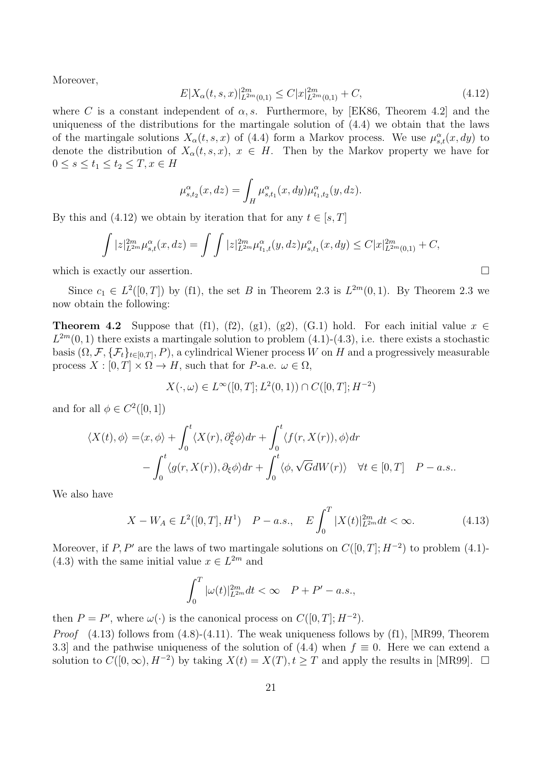Moreover,

$$
E|X_{\alpha}(t,s,x)|_{L^{2m}(0,1)}^{2m} \le C|x|_{L^{2m}(0,1)}^{2m} + C,
$$
\n(4.12)

where *C* is a constant independent of  $\alpha$ , *s*. Furthermore, by [EK86, Theorem 4.2] and the uniqueness of the distributions for the martingale solution of (4.4) we obtain that the laws of the martingale solutions  $X_\alpha(t, s, x)$  of (4.4) form a Markov process. We use  $\mu_{s,t}^\alpha(x, dy)$  to denote the distribution of  $X_\alpha(t, s, x)$ ,  $x \in H$ . Then by the Markov property we have for  $0 ≤ s ≤ t_1 ≤ t_2 ≤ T, x ∈ H$ 

$$
\mu_{s,t_2}^{\alpha}(x,dz) = \int_H \mu_{s,t_1}^{\alpha}(x,dy) \mu_{t_1,t_2}^{\alpha}(y,dz).
$$

By this and  $(4.12)$  we obtain by iteration that for any  $t \in [s, T]$ 

$$
\int |z|_{L^{2m}}^{2m} \mu_{s,t}^{\alpha}(x, dz) = \int \int |z|_{L^{2m}}^{2m} \mu_{t_1,t}^{\alpha}(y, dz) \mu_{s,t_1}^{\alpha}(x, dy) \leq C |x|_{L^{2m}(0,1)}^{2m} + C,
$$

which is exactly our assertion.

Since  $c_1 \in L^2([0,T])$  by (f1), the set *B* in Theorem 2.3 is  $L^{2m}(0,1)$ . By Theorem 2.3 we now obtain the following:

**Theorem 4.2** Suppose that (f1), (f2), (g1), (g2), (G.1) hold. For each initial value  $x \in$  $L^{2m}(0,1)$  there exists a martingale solution to problem  $(4.1)-(4.3)$ , i.e. there exists a stochastic basis  $(\Omega, \mathcal{F}, \{\mathcal{F}_t\}_{t\in [0,T]}, P)$ , a cylindrical Wiener process  $W$  on  $H$  and a progressively measurable process  $X : [0, T] \times \Omega \to H$ , such that for *P*-a.e.  $\omega \in \Omega$ ,

$$
X(\cdot, \omega) \in L^{\infty}([0, T]; L^2(0, 1)) \cap C([0, T]; H^{-2})
$$

and for all  $\phi \in C^2([0,1])$ 

$$
\langle X(t), \phi \rangle = \langle x, \phi \rangle + \int_0^t \langle X(r), \partial_{\xi}^2 \phi \rangle dr + \int_0^t \langle f(r, X(r)), \phi \rangle dr - \int_0^t \langle g(r, X(r)), \partial_{\xi} \phi \rangle dr + \int_0^t \langle \phi, \sqrt{G}dW(r) \rangle \quad \forall t \in [0, T] \quad P - a.s..
$$

We also have

$$
X - W_A \in L^2([0, T], H^1) \quad P - a.s., \quad E \int_0^T |X(t)|_{L^{2m}}^{2m} dt < \infty. \tag{4.13}
$$

Moreover, if *P, P'* are the laws of two martingale solutions on  $C([0, T]; H^{-2})$  to problem (4.1)-(4.3) with the same initial value  $x \in L^{2m}$  and

$$
\int_0^T |\omega(t)|_{L^{2m}}^{2m} dt < \infty \quad P + P' - a.s.,
$$

then  $P = P'$ , where  $\omega(\cdot)$  is the canonical process on  $C([0, T]; H^{-2})$ .

*Proof* (4.13) follows from (4.8)-(4.11). The weak uniqueness follows by (f1), [MR99, Theorem 3.3] and the pathwise uniqueness of the solution of  $(4.4)$  when  $f \equiv 0$ . Here we can extend a solution to  $C([0, \infty), H^{-2})$  by taking  $X(t) = X(T), t \geq T$  and apply the results in [MR99]. □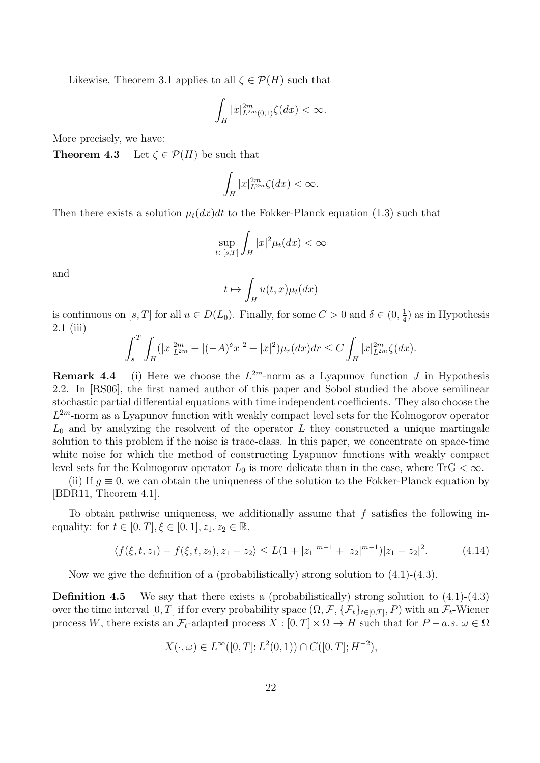Likewise, Theorem 3.1 applies to all  $\zeta \in \mathcal{P}(H)$  such that

$$
\int_H |x|_{L^{2m}(0,1)}^{2m} \zeta(dx) < \infty.
$$

More precisely, we have:

**Theorem 4.3** Let  $\zeta \in \mathcal{P}(H)$  be such that

$$
\int_H |x|_{L^{2m}}^{2m} \zeta(dx) < \infty.
$$

Then there exists a solution  $\mu_t(dx)dt$  to the Fokker-Planck equation (1.3) such that

$$
\sup_{t\in[s,T]}\int_H|x|^2\mu_t(dx) < \infty
$$

and

$$
t\mapsto \int_H u(t,x)\mu_t(dx)
$$

is continuous on [*s*, *T*] for all  $u \in D(L_0)$ . Finally, for some  $C > 0$  and  $\delta \in (0, \frac{1}{4})$  $(\frac{1}{4})$  as in Hypothesis 2.1 (iii)

$$
\int_{s}^{T} \int_{H} (|x|_{L^{2m}}^{2m} + |(-A)^{\delta} x|^2 + |x|^2) \mu_r(dx) dr \leq C \int_{H} |x|_{L^{2m}}^{2m} \zeta(dx).
$$

**Remark 4.4** (i) Here we choose the  $L^{2m}$ -norm as a Lyapunov function *J* in Hypothesis 2.2. In [RS06], the first named author of this paper and Sobol studied the above semilinear stochastic partial differential equations with time independent coefficients. They also choose the *L* <sup>2</sup>*<sup>m</sup>*-norm as a Lyapunov function with weakly compact level sets for the Kolmogorov operator  $L_0$  and by analyzing the resolvent of the operator  $L$  they constructed a unique martingale solution to this problem if the noise is trace-class. In this paper, we concentrate on space-time white noise for which the method of constructing Lyapunov functions with weakly compact level sets for the Kolmogorov operator  $L_0$  is more delicate than in the case, where  $T r G < \infty$ .

(ii) If  $q \equiv 0$ , we can obtain the uniqueness of the solution to the Fokker-Planck equation by [BDR11, Theorem 4.1].

To obtain pathwise uniqueness, we additionally assume that *f* satisfies the following inequality: for  $t \in [0, T]$ ,  $\xi \in [0, 1]$ ,  $z_1, z_2 \in \mathbb{R}$ ,

$$
\langle f(\xi, t, z_1) - f(\xi, t, z_2), z_1 - z_2 \rangle \le L(1 + |z_1|^{m-1} + |z_2|^{m-1})|z_1 - z_2|^2. \tag{4.14}
$$

Now we give the definition of a (probabilistically) strong solution to  $(4.1)-(4.3)$ .

**Definition 4.5** We say that there exists a (probabilistically) strong solution to  $(4.1)-(4.3)$ over the time interval  $[0, T]$  if for every probability space  $(\Omega, \mathcal{F}, \{\mathcal{F}_t\}_{t\in[0,T]}, P)$  with an  $\mathcal{F}_t$ -Wiener process *W*, there exists an  $\mathcal{F}_t$ -adapted process  $X : [0, T] \times \Omega \to H$  such that for  $P - a.s.$   $\omega \in \Omega$ 

$$
X(\cdot,\omega) \in L^{\infty}([0,T];L^2(0,1)) \cap C([0,T];H^{-2}),
$$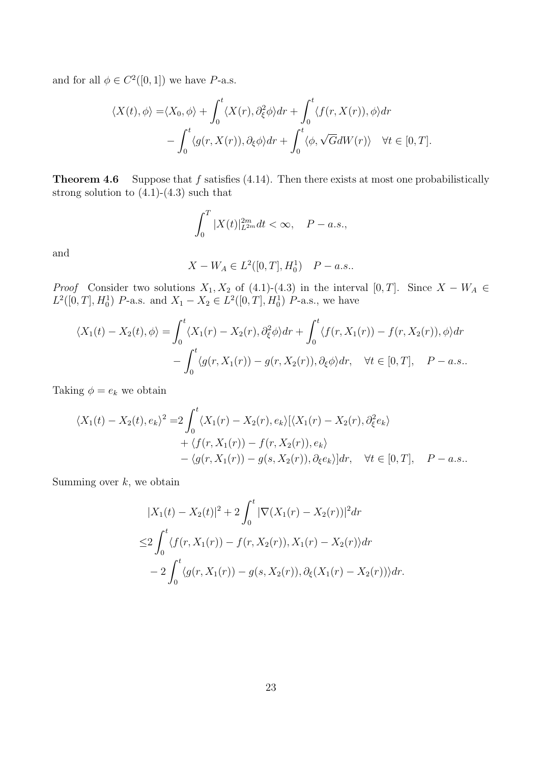and for all  $\phi \in C^2([0,1])$  we have *P*-a.s.

$$
\langle X(t), \phi \rangle = \langle X_0, \phi \rangle + \int_0^t \langle X(r), \partial_{\xi}^2 \phi \rangle dr + \int_0^t \langle f(r, X(r)), \phi \rangle dr - \int_0^t \langle g(r, X(r)), \partial_{\xi} \phi \rangle dr + \int_0^t \langle \phi, \sqrt{G}dW(r) \rangle \quad \forall t \in [0, T].
$$

**Theorem 4.6** Suppose that *f* satisfies (4.14). Then there exists at most one probabilistically strong solution to  $(4.1)-(4.3)$  such that

$$
\int_0^T |X(t)|_{L^{2m}}^{2m} dt < \infty, \quad P-a.s.,
$$

and

$$
X - W_A \in L^2([0, T], H_0^1) \quad P - a.s..
$$

*Proof* Consider two solutions  $X_1, X_2$  of (4.1)-(4.3) in the interval [0, *T*]. Since  $X - W_A \in$  $L^2([0, T], H_0^1)$  *P*-a.s. and  $X_1 - X_2 \in L^2([0, T], H_0^1)$  *P*-a.s., we have

$$
\langle X_1(t) - X_2(t), \phi \rangle = \int_0^t \langle X_1(r) - X_2(r), \partial_{\xi}^2 \phi \rangle dr + \int_0^t \langle f(r, X_1(r)) - f(r, X_2(r)), \phi \rangle dr - \int_0^t \langle g(r, X_1(r)) - g(r, X_2(r)), \partial_{\xi} \phi \rangle dr, \quad \forall t \in [0, T], \quad P - a.s..
$$

Taking  $\phi = e_k$  we obtain

$$
\langle X_1(t) - X_2(t), e_k \rangle^2 = 2 \int_0^t \langle X_1(r) - X_2(r), e_k \rangle [\langle X_1(r) - X_2(r), \partial_{\xi}^2 e_k \rangle
$$
  
+  $\langle f(r, X_1(r)) - f(r, X_2(r)), e_k \rangle$   
-  $\langle g(r, X_1(r)) - g(s, X_2(r)), \partial_{\xi} e_k \rangle ] dr, \quad \forall t \in [0, T], \quad P - a.s..$ 

Summing over *k*, we obtain

$$
|X_1(t) - X_2(t)|^2 + 2\int_0^t |\nabla(X_1(r) - X_2(r))|^2 dr
$$
  
\n
$$
\leq 2 \int_0^t \langle f(r, X_1(r)) - f(r, X_2(r)), X_1(r) - X_2(r) \rangle dr
$$
  
\n
$$
- 2 \int_0^t \langle g(r, X_1(r)) - g(s, X_2(r)), \partial_{\xi}(X_1(r) - X_2(r)) \rangle dr.
$$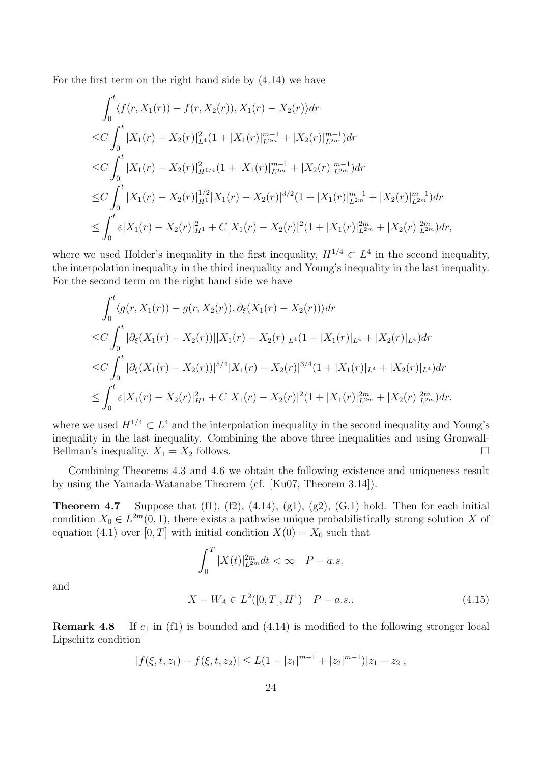For the first term on the right hand side by (4.14) we have

$$
\int_0^t \langle f(r, X_1(r)) - f(r, X_2(r)), X_1(r) - X_2(r) \rangle dr
$$
  
\n
$$
\leq C \int_0^t |X_1(r) - X_2(r)|_{L^4}^2 (1 + |X_1(r)|_{L^{2m}}^{m-1} + |X_2(r)|_{L^{2m}}^{m-1}) dr
$$
  
\n
$$
\leq C \int_0^t |X_1(r) - X_2(r)|_{H^{1/4}}^2 (1 + |X_1(r)|_{L^{2m}}^{m-1} + |X_2(r)|_{L^{2m}}^{m-1}) dr
$$
  
\n
$$
\leq C \int_0^t |X_1(r) - X_2(r)|_{H^1}^{1/2} |X_1(r) - X_2(r)|^{3/2} (1 + |X_1(r)|_{L^{2m}}^{m-1} + |X_2(r)|_{L^{2m}}^{m-1}) dr
$$
  
\n
$$
\leq \int_0^t \varepsilon |X_1(r) - X_2(r)|_{H^1}^2 + C|X_1(r) - X_2(r)|^2 (1 + |X_1(r)|_{L^{2m}}^{2m} + |X_2(r)|_{L^{2m}}^{2m}) dr,
$$

where we used Holder's inequality in the first inequality,  $H^{1/4} \subset L^4$  in the second inequality, the interpolation inequality in the third inequality and Young's inequality in the last inequality. For the second term on the right hand side we have

$$
\int_0^t \langle g(r, X_1(r)) - g(r, X_2(r)), \partial_{\xi} (X_1(r) - X_2(r)) \rangle dr
$$
  
\n
$$
\leq C \int_0^t |\partial_{\xi} (X_1(r) - X_2(r))||X_1(r) - X_2(r)|_{L^4} (1 + |X_1(r)|_{L^4} + |X_2(r)|_{L^4}) dr
$$
  
\n
$$
\leq C \int_0^t |\partial_{\xi} (X_1(r) - X_2(r))|^{5/4} |X_1(r) - X_2(r)|^{3/4} (1 + |X_1(r)|_{L^4} + |X_2(r)|_{L^4}) dr
$$
  
\n
$$
\leq \int_0^t \varepsilon |X_1(r) - X_2(r)|_{H^1}^2 + C|X_1(r) - X_2(r)|^2 (1 + |X_1(r)|_{L^{2m}}^{2m} + |X_2(r)|_{L^{2m}}^{2m}) dr.
$$

where we used  $H^{1/4} \subset L^4$  and the interpolation inequality in the second inequality and Young's inequality in the last inequality. Combining the above three inequalities and using Gronwall-Bellman's inequality,  $X_1 = X_2$  follows.

Combining Theorems 4.3 and 4.6 we obtain the following existence and uniqueness result by using the Yamada-Watanabe Theorem (cf. [Ku07, Theorem 3.14]).

**Theorem 4.7** Suppose that  $(f1)$ ,  $(f2)$ ,  $(4.14)$ ,  $(g1)$ ,  $(g2)$ ,  $(G.1)$  hold. Then for each initial condition  $X_0 \in L^{2m}(0,1)$ , there exists a pathwise unique probabilistically strong solution *X* of equation (4.1) over [0, T] with initial condition  $X(0) = X_0$  such that

$$
\int_0^T |X(t)|_{L^{2m}}^{2m} dt < \infty \quad P - a.s.
$$
\n
$$
X - W_A \in L^2([0, T], H^1) \quad P - a.s.
$$
\n
$$
(4.15)
$$

and

**Remark 4.8** If 
$$
c_1
$$
 in (f1) is bounded and (4.14) is modified to the following stronger local Lipschitz condition

$$
|f(\xi, t, z_1) - f(\xi, t, z_2)| \le L(1 + |z_1|^{m-1} + |z_2|^{m-1})|z_1 - z_2|,
$$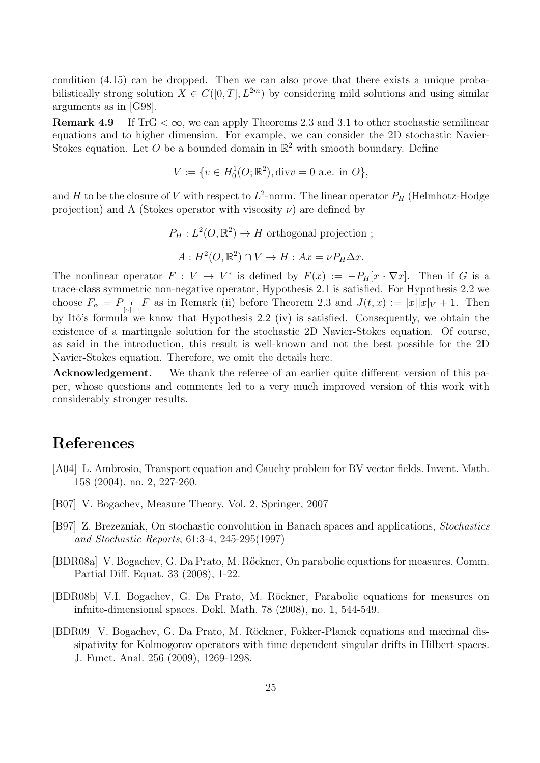condition (4.15) can be dropped. Then we can also prove that there exists a unique probabilistically strong solution  $X \in C([0, T], L^{2m})$  by considering mild solutions and using similar arguments as in [G98].

**Remark 4.9** If TrG  $\lt \infty$ , we can apply Theorems 2.3 and 3.1 to other stochastic semilinear equations and to higher dimension. For example, we can consider the 2D stochastic Navier-Stokes equation. Let  $O$  be a bounded domain in  $\mathbb{R}^2$  with smooth boundary. Define

$$
V := \{ v \in H_0^1(O; \mathbb{R}^2), \text{div}v = 0 \text{ a.e. in } O \},
$$

and *H* to be the closure of *V* with respect to  $L^2$ -norm. The linear operator  $P_H$  (Helmhotz-Hodge projection) and A (Stokes operator with viscosity  $\nu$ ) are defined by

> $P_H: L^2(O, \mathbb{R}^2) \to H$  orthogonal projection;  $A: H^2(O, \mathbb{R}^2) \cap V \to H: Ax = \nu P_H \Delta x.$

The nonlinear operator  $F: V \to V^*$  is defined by  $F(x) := -P_H[x \cdot \nabla x]$ . Then if *G* is a trace-class symmetric non-negative operator, Hypothesis 2.1 is satisfied. For Hypothesis 2.2 we choose  $F_{\alpha} = P_{\frac{1}{[\alpha]+1}} F$  as in Remark (ii) before Theorem 2.3 and  $J(t, x) := |x||x|_V + 1$ . Then by Itô's formula we know that Hypothesis 2.2 (iv) is satisfied. Consequently, we obtain the existence of a martingale solution for the stochastic 2D Navier-Stokes equation. Of course, as said in the introduction, this result is well-known and not the best possible for the 2D Navier-Stokes equation. Therefore, we omit the details here.

**Acknowledgement.** We thank the referee of an earlier quite different version of this paper, whose questions and comments led to a very much improved version of this work with considerably stronger results.

# **References**

- [A04] L. Ambrosio, Transport equation and Cauchy problem for BV vector fields. Invent. Math. 158 (2004), no. 2, 227-260.
- [B07] V. Bogachev, Measure Theory, Vol. 2, Springer, 2007
- [B97] Z. Brezezniak, On stochastic convolution in Banach spaces and applications, *Stochastics and Stochastic Reports*, 61:3-4, 245-295(1997)
- [BDR08a] V. Bogachev, G. Da Prato, M. Röckner, On parabolic equations for measures. Comm. Partial Diff. Equat. 33 (2008), 1-22.
- [BDR08b] V.I. Bogachev, G. Da Prato, M. Röckner, Parabolic equations for measures on infnite-dimensional spaces. Dokl. Math. 78 (2008), no. 1, 544-549.
- [BDR09] V. Bogachev, G. Da Prato, M. Röckner, Fokker-Planck equations and maximal dissipativity for Kolmogorov operators with time dependent singular drifts in Hilbert spaces. J. Funct. Anal. 256 (2009), 1269-1298.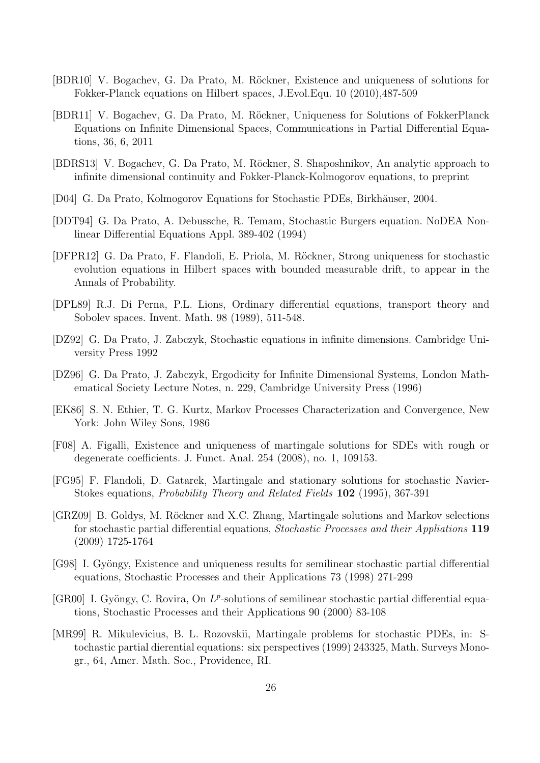- [BDR10] V. Bogachev, G. Da Prato, M. Röckner, Existence and uniqueness of solutions for Fokker-Planck equations on Hilbert spaces, J.Evol.Equ. 10 (2010),487-509
- [BDR11] V. Bogachev, G. Da Prato, M. Röckner, Uniqueness for Solutions of FokkerPlanck Equations on Infinite Dimensional Spaces, Communications in Partial Differential Equations, 36, 6, 2011
- [BDRS13] V. Bogachev, G. Da Prato, M. Röckner, S. Shaposhnikov, An analytic approach to infinite dimensional continuity and Fokker-Planck-Kolmogorov equations, to preprint
- [D04] G. Da Prato, Kolmogorov Equations for Stochastic PDEs, Birkhäuser, 2004.
- [DDT94] G. Da Prato, A. Debussche, R. Temam, Stochastic Burgers equation. NoDEA Nonlinear Differential Equations Appl. 389-402 (1994)
- [DFPR12] G. Da Prato, F. Flandoli, E. Priola, M. Röckner, Strong uniqueness for stochastic evolution equations in Hilbert spaces with bounded measurable drift, to appear in the Annals of Probability.
- [DPL89] R.J. Di Perna, P.L. Lions, Ordinary differential equations, transport theory and Sobolev spaces. Invent. Math. 98 (1989), 511-548.
- [DZ92] G. Da Prato, J. Zabczyk, Stochastic equations in infinite dimensions. Cambridge University Press 1992
- [DZ96] G. Da Prato, J. Zabczyk, Ergodicity for Infinite Dimensional Systems, London Mathematical Society Lecture Notes, n. 229, Cambridge University Press (1996)
- [EK86] S. N. Ethier, T. G. Kurtz, Markov Processes Characterization and Convergence, New York: John Wiley Sons, 1986
- [F08] A. Figalli, Existence and uniqueness of martingale solutions for SDEs with rough or degenerate coefficients. J. Funct. Anal. 254 (2008), no. 1, 109153.
- [FG95] F. Flandoli, D. Gatarek, Martingale and stationary solutions for stochastic Navier-Stokes equations, *Probability Theory and Related Fields* **102** (1995), 367-391
- [GRZ09] B. Goldys, M. Röckner and X.C. Zhang, Martingale solutions and Markov selections for stochastic partial differential equations, *Stochastic Processes and their Appliations* **119** (2009) 1725-1764
- [G98] I. Gyöngy, Existence and uniqueness results for semilinear stochastic partial differential equations, Stochastic Processes and their Applications 73 (1998) 271-299
- [GR00] I. Gyöngy, C. Rovira, On  $L^p$ -solutions of semilinear stochastic partial differential equations, Stochastic Processes and their Applications 90 (2000) 83-108
- [MR99] R. Mikulevicius, B. L. Rozovskii, Martingale problems for stochastic PDEs, in: Stochastic partial dierential equations: six perspectives (1999) 243325, Math. Surveys Monogr., 64, Amer. Math. Soc., Providence, RI.